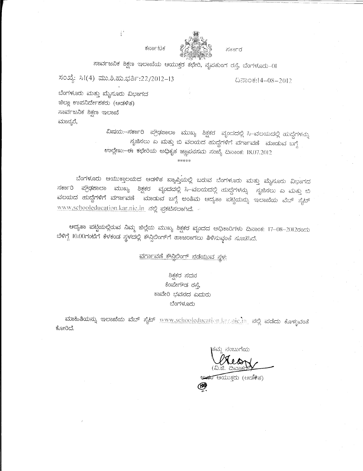

ಸರ್ಕಾರ

ಸಾರ್ವಜನಿಕ ಶಿಕ್ಷಣ ಇಲಾಖೆಯ ಆಯುಕ್ತರ ಕಛೇರಿ, ನೃಪತುಂಗ ರಸ್ತೆ, ಬೆಂಗಳೂರು–೧1

ಸಂಖ್ಯೆ: ಸಿ1(4) ಮು.ಶಿ.ಹು.ಭರ್ತಿ:22/2012-13

 $\frac{5}{3}^{\frac{1}{3}}$ 

ದಿನಾಂಕ:14–08–2012

ಬೆಂಗಳೂರು ಮತ್ತು ಮೈಸೂರು ವಿಭಾಗದ ಜಿಲ್ಲಾ ಉಪನಿರ್ದೇಶಕರು (ಆಡಳಿತ) ಸಾರ್ವಜನಿಕ ಶಿಕ್ಷಣ ಇಲಾಖೆ ಮಾನ್ಯರೆ,

> ವಿಷಯ:--ಸರ್ಕಾರಿ ಪ್ರೌಢಶಾಲಾ ಮುಖ್ಯ ಶಿಕ್ಷಕರ ವೃಂದದಲ್ಲಿ ಸಿ–ವಲಯದಲ್ಲಿ ಹುದ್ದೆಗಳನ್ನು ಸೃಜಿಸಲು ಎ ಮತ್ತು ಬಿ ವಲಯದ ಹುದ್ದೆಗಳಿಗೆ ವರ್ಗಾವಣೆ ಮಾಡುವ ಬಗ್ಗೆ ಉಲ್ಲೇಖ:-ಈ ಕಛೇರಿಯ ಅಧಿಕೃತ ಜ್ಞಾಪನಸಮ ಸಂಖ್ಯೆ ದಿನಾಂಕ: 18.07.2012

ಬೆಂಗಳೂರು ಆಯುಕ್ತಾಲಯದ ಆಡಳಿತ ವ್ಯಾಪ್ತಿಯಲ್ಲಿ ಬರುವ ಬೆಂಗಳೂರು ಮತ್ತು ಮೈಸೂರು ವಿಭಾಗದ ಮುಖ್ಯ ಶಿಕ್ಷಕರ ವೃಂದದಲ್ಲಿ ಸಿ–ವಲಯದಲ್ಲಿ ಹುದ್ದೆಗಳನ್ನು ಸೃಜಿಸಲು ಎ ಮತ್ತು ಬಿ ನರ್ಕಾರಿ ಪ್ರೌಢಶಾಲಾ ವಲಯದ ಹುದ್ದೆಗಳಿಗೆ ವರ್ಗಾವಣೆ ಮಾಡುವ ಬಗ್ಗೆ ಅಂತಿಮ ಆದ್ಯತಾ ಪಟ್ಟಿಯನ್ನು ಇಲಾಖೆಯ ವೆಬ್ ಸೈಟ್ www.schooleducation.kar.nic.in ನಲ್ಲಿ ಪ್ರಕಟಿಸಲಾಗಿದೆ.

\*\*\*\*\*

ಆದ್ಯತಾ ಪಟ್ಟಿಯಲ್ಲಿರುವ ನಿಮ್ಮ ಜಿಲ್ಲೆಯ ಮುಖ್ಯ ಶಿಕ್ಷಕರ ವೃಂದದ ಅಧಿಕಾರಿಗಳು ದಿನಾಂಕ: 17–08–2012ರಂದು ಬೆಳಿಗ್ಗೆ 10.00ಗಂಟೆಗೆ ಕೆಳಕಂಡ ಸ್ಥಳದಲ್ಲಿ ಕೌನ್ಸಿಲಿಂಗ್ಗೆ ಹಾಜರಾಗಲು ತಿಳಿಸುವ್ವಂತೆ ಸೂಚಿಸಿದೆ.

<u>ವರ್ಗಾವಣೆ ಕೌನ್ಗಿಲಿಂಗ್ ನಡೆಯುವ ಸ್ಥಳ:</u>

# ಶಿಕ್ಷಕರ ಸದನ ಕೆಂಪೇಗೌಡ ರಸ್ತೆ, ಕಾವೇರಿ ಭವನದ ಎದುರು ಬೆಂಗಳೂರು

ಮಾಹಿತಿಯನ್ನು ಇಲಾಖೆಯ ವೆಬ್ ಸೈಟ್ www.schooleducation.kar.nic.in ನಲ್ಲಿ ಪಡೆದು ಕೊಳ್ಳುವಂತೆ ಕೋರಿದೆ.

ಸಂಬುಗೆಯ

<del>ಅವರ ಆ</del>ಯುಕ್ತರು (ಆಡಳಿತ)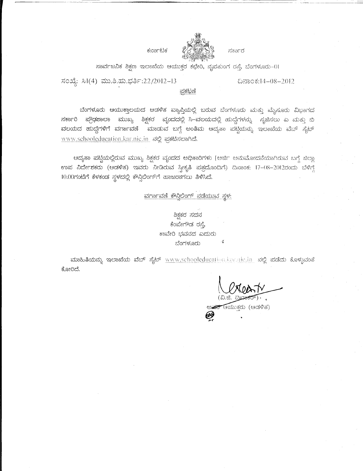



ಸಾರ್ವಜನಿಕ ಶಿಕ್ಷಣ ಇಲಾಖೆಯ ಆಯುಕ್ತರ ಕಛೇರಿ, ನೃಪತುಂಗ ರಸ್ತೆ, ಬೆಂಗಳೂರು-()।

ಸಂಖ್ಯೆ: ಸಿ1(4) ಮು.ಶಿ.ಹು.ಭರ್ತಿ:22/2012-13

ದಿನಾಂಕ:14–08–2012

### <u>ಪ್ರಕಟಣೆ</u>

ಬೆಂಗಳೂರು ಆಯುಕ್ತಾಲಯದ ಆಡಳಿತ ವ್ಯಾಪ್ತಿಯಲ್ಲಿ ಬರುವ ಬೆಂಗಳೂರು ಮತ್ತು ಮೈಸೂರು ವಿಭಾಗದ ಸರ್ಕಾರಿ ಪ್ರೌಢಶಾಲಾ ಮುಖ್ಯ ಶಿಕ್ಷಕರ ವೃಂದದಲ್ಲಿ ಸಿ–ವಲಯದಲ್ಲಿ ಹುದ್ದೆಗಳನ್ನು ಸೃಜಿಸಲು ಎ ಮತ್ತು ಬಿ ವಲಯದ ಹುದ್ದೆಗಳಿಗೆ ವರ್ಗಾವಣೆ ಮಾಡುವ ಬಗ್ಗೆ ಅಂತಿಮ ಆದ್ಯತಾ ಪಟ್ಟಿಯನ್ನು ಇಲಾಖೆಯ ವೆಬ್ ಸೈಟ್ www.schooleducation.kar.nic.in ನಲ್ಲಿ ಪ್ರಕಟಿಸಲಾಗಿದೆ.

ಆದ್ಯತಾ ಪಟ್ಟಿಯಲ್ಲಿರುವ ಮುಖ್ಯ ಶಿಕ್ಷಕರ ವೃಂದದ ಅಧಿಕಾರಿಗಳು [ಅರ್ಜಿ ಅನುಮೋದನೆಯಾಗಿರುವ ಬಗ್ಗೆ ಜಿಲ್ಲಾ ಉಪ ನಿರ್ದೇಶಕರು (ಆಡಳಿತ) ಇವರು ನೀಡಿರುವ ಸ್ವೀಕೃತಿ ಪತ್ರದೊಂದಿಗೆ) ದಿನಾಂಕ: 17-08-2012ರಂದು ಬೆಳಿಗ್ಗೆ 10.00ಗಂಟೆಗೆ ಕೆಳಕಂಡ ಸ್ಥಳದಲ್ಲಿ ಕೌನ್ಸಿಲಿಂಗ್ಗೆ ಹಾಜರಾಗಲು ತಿಳಿಸಿದೆ.

## ವರ್ಗಾವಣೆ ಕೌನ್ತಿಲಿಂಗ್ ನಡೆಯುವ ಸ್ಥಳ:

# ಶಿಕ್ಷಕರ ಸದನ ಕೆಂಪೇಗೌಡ ರಸ್ತೆ, ಕಾವೇರಿ ಭವನದ ಎದುರು ಬೆಂಗಳೂರು

ಮಾಹಿತಿಯನ್ನು ಇಲಾಖೆಯ ವೆಬ್ ಸೈಟ್ www.schooleducation.kar.nic.in ನಲ್ಲಿ ಪಡೆದು ಕೊಳ್ಳುವಂತೆ ಕೋರಿದೆ.

(ವಿ.ಜಿ. *ರಿ* ಅ<del>ವರಿ</del> ಆಯುಕ್ತರು (ಆಡಳಿತ)

 $\tilde{\mathbf{z}}$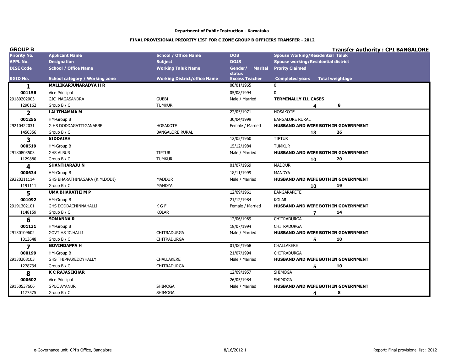| <b>GROUP B</b>      |                                       |                                     |                                            | <b>Transfer Authority: CPI BANGALORE</b>         |
|---------------------|---------------------------------------|-------------------------------------|--------------------------------------------|--------------------------------------------------|
| <b>Priority No.</b> | <b>Applicant Name</b>                 | <b>School / Office Name</b>         | <b>DOB</b>                                 | <b>Spouse Working/Residential Taluk</b>          |
| <b>APPL No.</b>     | <b>Designation</b>                    | <b>Subject</b>                      | <b>DOJS</b>                                | <b>Spouse working/Residential district</b>       |
| <b>DISE Code</b>    | <b>School / Office Name</b>           | <b>Working Taluk Name</b>           | Gender/<br><b>Marital</b><br><b>status</b> | <b>Prority Claimed</b>                           |
| <b>KGID No.</b>     | <b>School category / Working zone</b> | <b>Working District/office Name</b> | <b>Excess Teacher</b>                      | <b>Total weightage</b><br><b>Completed years</b> |
| 1                   | <b>MALLIKARJUNARADYA H R</b>          |                                     | 08/01/1965                                 | $\Omega$                                         |
| 001156              | Vice Principal                        |                                     | 05/08/1994                                 | $\mathbf 0$                                      |
| 29180202003         | GJC NAGASANDRA                        | <b>GUBBI</b>                        | Male / Married                             | <b>TERMINALLY ILL CASES</b>                      |
| 1290162             | Group B / C                           | <b>TUMKUR</b>                       |                                            | 8<br>Δ                                           |
| $\mathbf{2}$        | <b>LALITHAMMA M</b>                   |                                     | 22/05/1971                                 | <b>HOSAKOTE</b>                                  |
| 001255              | HM-Group B                            |                                     | 30/04/1999                                 | <b>BANGALORE RURAL</b>                           |
| 29210422031         | G HS DODDAGATTIGANABBE                | <b>HOSAKOTE</b>                     | Female / Married                           | HUSBAND AND WIFE BOTH IN GOVERNMENT              |
| 1450356             | Group B / C                           | <b>BANGALORE RURAL</b>              |                                            | 26<br>13                                         |
| 3                   | <b>SIDDAIAH</b>                       |                                     | 12/05/1960                                 | <b>TIPTUR</b>                                    |
| 000519              | HM-Group B                            |                                     | 15/12/1984                                 | <b>TUMKUR</b>                                    |
| 29180803503         | <b>GHS ALBUR</b>                      | <b>TIPTUR</b>                       | Male / Married                             | HUSBAND AND WIFE BOTH IN GOVERNMENT              |
| 1129880             | Group $B / C$                         | <b>TUMKUR</b>                       |                                            | 20<br>10                                         |
| 4                   | <b>SHANTHARAJU N</b>                  |                                     | 01/07/1969                                 | <b>MADDUR</b>                                    |
| 000634              | HM-Group B                            |                                     | 18/11/1999                                 | <b>MANDYA</b>                                    |
| 29220211114         | GHS BHARATHINAGARA (K.M.DODI)         | <b>MADDUR</b>                       | Male / Married                             | HUSBAND AND WIFE BOTH IN GOVERNMENT              |
| 1191111             | Group B / C                           | <b>MANDYA</b>                       |                                            | 19<br>10                                         |
| 5                   | <b>UMA BHARATHI M P</b>               |                                     | 12/09/1961                                 | <b>BANGARAPETE</b>                               |
| 001092              | HM-Group B                            |                                     | 21/12/1984                                 | <b>KOLAR</b>                                     |
| 29191302101         | GHS DODDACHINNAHALLI                  | K G F                               | Female / Married                           | HUSBAND AND WIFE BOTH IN GOVERNMENT              |
| 1148159             | Group B / C                           | <b>KOLAR</b>                        |                                            | 14<br>$\overline{7}$                             |
| 6                   | <b>SOMANNA R</b>                      |                                     | 12/06/1969                                 | <b>CHITRADURGA</b>                               |
| 001131              | HM-Group B                            |                                     | 18/07/1994                                 | CHITRADURGA                                      |
| 29130109602         | GOVT.HS JC.HALLI                      | <b>CHITRADURGA</b>                  | Male / Married                             | <b>HUSBAND AND WIFE BOTH IN GOVERNMENT</b>       |
| 1313648             | Group B / C                           | <b>CHITRADURGA</b>                  |                                            | 5<br>10                                          |
| $\overline{z}$      | <b>GOVINDAPPA H</b>                   |                                     | 01/06/1968                                 | <b>CHALLAKERE</b>                                |
| 000199              | HM-Group B                            |                                     | 21/07/1994                                 | CHITRADURGA                                      |
| 29130208103         | <b>GHS THIPPAREDDYHALLY</b>           | <b>CHALLAKERE</b>                   | Male / Married                             | HUSBAND AND WIFE BOTH IN GOVERNMENT              |
| 1278734             | Group B / C                           | <b>CHITRADURGA</b>                  |                                            | 5<br>10                                          |
| 8                   | <b>K C RAJASEKHAR</b>                 |                                     | 12/09/1957                                 | <b>SHIMOGA</b>                                   |
| 000602              | Vice Principal                        |                                     | 26/05/1984                                 | <b>SHIMOGA</b>                                   |
| 29150537606         | <b>GPUC AYANUR</b>                    | SHIMOGA                             | Male / Married                             | HUSBAND AND WIFE BOTH IN GOVERNMENT              |
| 1177575             | Group B / C                           | <b>SHIMOGA</b>                      |                                            | 8<br>4                                           |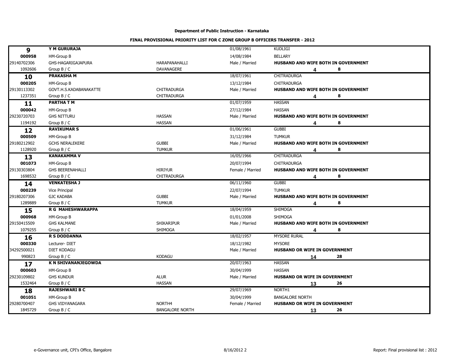| 9           | Y M GURURAJA               |                        | 01/08/1961       | <b>KUDLIGI</b>                             |
|-------------|----------------------------|------------------------|------------------|--------------------------------------------|
| 000958      | HM-Group B                 |                        | 14/08/1984       | <b>BELLARY</b>                             |
| 29140702306 | GHS-HAGARIGAJAPURA         | HARAPANAHALLI          | Male / Married   | HUSBAND AND WIFE BOTH IN GOVERNMENT        |
| 1092606     | Group $B / C$              | DAVANAGERE             |                  | 8<br>4                                     |
| 10          | <b>PRAKASHAM</b>           |                        | 18/07/1961       | <b>CHITRADURGA</b>                         |
| 000205      | HM-Group B                 |                        | 13/12/1984       | <b>CHITRADURGA</b>                         |
| 29130113302 | GOVT.H.S.KADABANAKATTE     | <b>CHITRADURGA</b>     | Male / Married   | HUSBAND AND WIFE BOTH IN GOVERNMENT        |
| 1237351     | Group $B / C$              | CHITRADURGA            |                  | 8<br>4                                     |
| 11          | <b>PARTHA TM</b>           |                        | 01/07/1959       | <b>HASSAN</b>                              |
| 000042      | HM-Group B                 |                        | 27/12/1984       | <b>HASSAN</b>                              |
| 29230720703 | <b>GHS NITTURU</b>         | <b>HASSAN</b>          | Male / Married   | HUSBAND AND WIFE BOTH IN GOVERNMENT        |
| 1194192     | Group $B / C$              | <b>HASSAN</b>          |                  | 8<br>4                                     |
| 12          | <b>RAVIKUMAR S</b>         |                        | 01/06/1961       | <b>GUBBI</b>                               |
| 000509      | HM-Group B                 |                        | 31/12/1984       | <b>TUMKUR</b>                              |
| 29180212902 | <b>GCHS NERALEKERE</b>     | <b>GUBBI</b>           | Male / Married   | HUSBAND AND WIFE BOTH IN GOVERNMENT        |
| 1128920     | Group B / C                | <b>TUMKUR</b>          |                  | 8<br>4                                     |
| 13          | <b>KANAKAMMA V</b>         |                        | 16/05/1966       | CHITRADURGA                                |
| 001073      | HM-Group B                 |                        | 20/07/1994       | <b>CHITRADURGA</b>                         |
| 29130303804 | <b>GHS BEERENAHALLI</b>    | <b>HIRIYUR</b>         | Female / Married | HUSBAND AND WIFE BOTH IN GOVERNMENT        |
| 1698532     | Group $B / C$              | CHITRADURGA            |                  | 8<br>4                                     |
| 14          | <b>VENKATESHA J</b>        |                        | 06/11/1960       | <b>GUBBI</b>                               |
| 000239      | Vice Principal             |                        | 22/07/1994       | <b>TUMKUR</b>                              |
| 29180207306 | <b>GJC KADABA</b>          | <b>GUBBI</b>           | Male / Married   | <b>HUSBAND AND WIFE BOTH IN GOVERNMENT</b> |
| 1289889     | Group $B / C$              | <b>TUMKUR</b>          |                  | 8<br>4                                     |
| 15          | <b>R G MAHESHWARAPPA</b>   |                        | 18/04/1959       | <b>SHIMOGA</b>                             |
| 000968      | HM-Group B                 |                        | 01/01/2008       | <b>SHIMOGA</b>                             |
| 29150415509 | <b>GHS KALMANE</b>         | <b>SHIKARIPUR</b>      | Male / Married   | HUSBAND AND WIFE BOTH IN GOVERNMENT        |
| 1079255     | Group B / C                | SHIMOGA                |                  | 8<br>4                                     |
| 16          | <b>R S DODDANNA</b>        |                        | 18/02/1957       | <b>MYSORE RURAL</b>                        |
| 000330      | Lecturer-DIET              |                        | 18/12/1982       | <b>MYSORE</b>                              |
| 34292500021 | <b>DIET KODAGU</b>         |                        | Male / Married   | HUSBAND OR WIFE IN GOVERNMENT              |
| 990823      | Group B / C                | <b>KODAGU</b>          |                  | 28<br>14                                   |
| 17          | <b>K N SHIVANANJEGOWDA</b> |                        | 20/07/1963       | <b>HASSAN</b>                              |
| 000603      | HM-Group B                 |                        | 30/04/1999       | <b>HASSAN</b>                              |
| 29230109802 | <b>GHS KUNDUR</b>          | <b>ALUR</b>            | Male / Married   | HUSBAND OR WIFE IN GOVERNMENT              |
| 1532464     | Group $B / C$              | <b>HASSAN</b>          |                  | 26<br>13                                   |
| 18          | <b>RAJESHWARI B C</b>      |                        | 29/07/1969       | NORTH1                                     |
| 001051      | HM-Group B                 |                        | 30/04/1999       | <b>BANGALORE NORTH</b>                     |
| 29280700407 | <b>GHS VIDYANAGARA</b>     | NORTH <sub>4</sub>     | Female / Married | <b>HUSBAND OR WIFE IN GOVERNMENT</b>       |
| 1845729     | Group $B / C$              | <b>BANGALORE NORTH</b> |                  | 26<br>13                                   |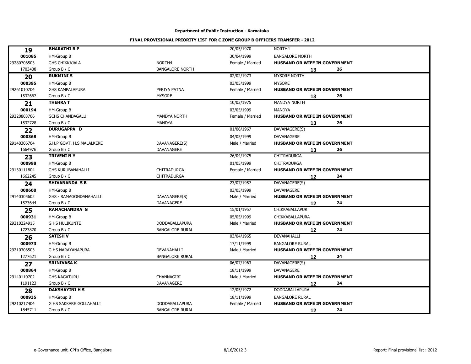|              | <b>BHARATHI B P</b>           |                        | 20/05/1970       | NORTH4                               |
|--------------|-------------------------------|------------------------|------------------|--------------------------------------|
| 19<br>001085 | HM-Group B                    |                        | 30/04/1999       | <b>BANGALORE NORTH</b>               |
| 29280706503  | <b>GHS CHIKKAJALA</b>         | NORTH4                 | Female / Married | HUSBAND OR WIFE IN GOVERNMENT        |
| 1703408      | Group B / C                   | <b>BANGALORE NORTH</b> |                  | 26<br>13                             |
| 20           | <b>RUKMINI S</b>              |                        | 02/02/1973       | MYSORE NORTH                         |
| 000395       | HM-Group B                    |                        | 03/05/1999       | <b>MYSORE</b>                        |
| 29261010704  | <b>GHS KAMPALAPURA</b>        | PERIYA PATNA           | Female / Married | <b>HUSBAND OR WIFE IN GOVERNMENT</b> |
| 1532667      | Group $B / C$                 | <b>MYSORE</b>          |                  | 26<br>13                             |
| 21           | <b>THEHRAT</b>                |                        | 10/03/1975       | <b>MANDYA NORTH</b>                  |
| 000194       | HM-Group B                    |                        | 03/05/1999       | <b>MANDYA</b>                        |
| 29220803706  | <b>GCHS CHANDAGALU</b>        | <b>MANDYA NORTH</b>    | Female / Married | <b>HUSBAND OR WIFE IN GOVERNMENT</b> |
| 1532728      | Group $B / C$                 | MANDYA                 |                  | 26<br>13                             |
| 22           | <b>DURUGAPPA D</b>            |                        | 01/06/1967       | DAVANAGERE(S)                        |
| 000368       | HM-Group B                    |                        | 04/05/1999       | DAVANAGERE                           |
| 29140306704  | S.H.P GOVT. H.S MALALKERE     | DAVANAGERE(S)          | Male / Married   | <b>HUSBAND OR WIFE IN GOVERNMENT</b> |
| 1664976      | Group $B / C$                 | <b>DAVANAGERE</b>      |                  | 26<br>13                             |
| 23           | <b>TRIVENI N Y</b>            |                        | 26/04/1975       | CHITRADURGA                          |
| 000998       | HM-Group B                    |                        | 01/05/1999       | <b>CHITRADURGA</b>                   |
| 29130111804  | <b>GHS KURUBANAHALLI</b>      | <b>CHITRADURGA</b>     | Female / Married | HUSBAND OR WIFE IN GOVERNMENT        |
| 1662245      | Group $B / C$                 | <b>CHITRADURGA</b>     |                  | 24<br>12                             |
| 24           | <b>SHIVANANDA S B</b>         |                        | 23/07/1957       | DAVANAGERE(S)                        |
| 000600       | HM-Group B                    |                        | 03/05/1999       | <b>DAVANAGERE</b>                    |
| 29140305602  | <b>GHS - RAMAGONDANAHALLI</b> | DAVANAGERE(S)          | Male / Married   | <b>HUSBAND OR WIFE IN GOVERNMENT</b> |
| 1573644      | Group $B / C$                 | <b>DAVANAGERE</b>      |                  | 24<br>12                             |
| 25           | <b>RAMACHANDRA G</b>          |                        | 15/01/1957       | CHIKKABALLAPUR                       |
| 000931       | HM-Group B                    |                        | 05/05/1999       | CHIKKABALLAPURA                      |
| 29210224915  | <b>G HS HULIKUNTE</b>         | <b>DODDABALLAPURA</b>  | Male / Married   | HUSBAND OR WIFE IN GOVERNMENT        |
| 1723870      | Group B / C                   | <b>BANGALORE RURAL</b> |                  | 24<br>12                             |
| 26           | <b>SATISH V</b>               |                        | 03/04/1965       | DEVANAHALLI                          |
| 000973       | HM-Group B                    |                        | 17/11/1999       | <b>BANGALORE RURAL</b>               |
| 29210306503  | <b>G HS NARAYANAPURA</b>      | DEVANAHALLI            | Male / Married   | HUSBAND OR WIFE IN GOVERNMENT        |
| 1277621      | Group B / C                   | <b>BANGALORE RURAL</b> |                  | 24<br>12                             |
| 27           | <b>SRINIVASA K</b>            |                        | 06/07/1963       | DAVANAGERE(S)                        |
| 000864       | HM-Group B                    |                        | 18/11/1999       | <b>DAVANAGERE</b>                    |
| 29140110702  | <b>GHS-KAGATURU</b>           | CHANNAGIRI             | Male / Married   | HUSBAND OR WIFE IN GOVERNMENT        |
| 1191123      | Group $B / C$                 | DAVANAGERE             |                  | 24<br>12                             |
| 28           | <b>DAKSHAYINI H S</b>         |                        | 12/05/1972       | <b>DODDABALLAPURA</b>                |
| 000935       | HM-Group B                    |                        | 18/11/1999       | <b>BANGALORE RURAL</b>               |
| 29210217404  | G HS SAKKARE GOLLAHALLI       | DODDABALLAPURA         | Female / Married | HUSBAND OR WIFE IN GOVERNMENT        |
| 1845711      | Group $B / C$                 | <b>BANGALORE RURAL</b> |                  | 24<br>12                             |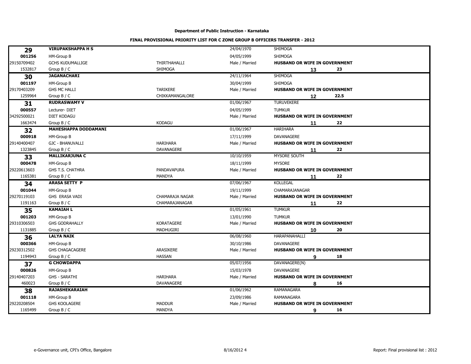| 29          | <b>VIRUPAKSHAPPA H S</b>    |                       | 24/04/1970     | SHIMOGA                              |
|-------------|-----------------------------|-----------------------|----------------|--------------------------------------|
| 001256      | HM-Group B                  |                       | 04/05/1999     | <b>SHIMOGA</b>                       |
| 29150709402 | <b>GCHS KUDUMALLIGE</b>     | <b>THIRTHAHALLI</b>   | Male / Married | HUSBAND OR WIFE IN GOVERNMENT        |
| 1532817     | Group B / C                 | SHIMOGA               |                | 23<br>13                             |
| 30          | <b>JAGANACHARI</b>          |                       | 24/11/1964     | <b>SHIMOGA</b>                       |
| 001197      | HM-Group B                  |                       | 30/04/1999     | <b>SHIMOGA</b>                       |
| 29170403209 | <b>GHS MC HALLI</b>         | <b>TARIKERE</b>       | Male / Married | <b>HUSBAND OR WIFE IN GOVERNMENT</b> |
| 1259964     | Group $B / C$               | CHIKKAMANGALORE       |                | 22.5<br>12                           |
| 31          | <b>RUDRASWAMY V</b>         |                       | 01/06/1967     | <b>TURUVEKERE</b>                    |
| 000557      | Lecturer-DIET               |                       | 04/05/1999     | <b>TUMKUR</b>                        |
| 34292500021 | <b>DIET KODAGU</b>          |                       | Male / Married | <b>HUSBAND OR WIFE IN GOVERNMENT</b> |
| 1663474     | Group $B / C$               | <b>KODAGU</b>         |                | 22<br>11                             |
| 32          | <b>MAHESHAPPA DODDAMANI</b> |                       | 01/06/1967     | <b>HARIHARA</b>                      |
| 000918      | HM-Group B                  |                       | 17/11/1999     | DAVANAGERE                           |
| 29140400407 | <b>GJC - BHANUVALLI</b>     | <b>HARIHARA</b>       | Male / Married | HUSBAND OR WIFE IN GOVERNMENT        |
| 1323845     | Group $B / C$               | DAVANAGERE            |                | 22<br>11                             |
| 33          | <b>MALLIKARJUNA C</b>       |                       | 10/10/1959     | MYSORE SOUTH                         |
| 000478      | HM-Group B                  |                       | 18/11/1999     | <b>MYSORE</b>                        |
| 29220613603 | GHS T.S. CHATHRA            | PANDAVAPURA           | Male / Married | HUSBAND OR WIFE IN GOVERNMENT        |
| 1165381     | Group B / C                 | <b>MANDYA</b>         |                | 22<br>11                             |
| 34          | <b>ARASA SETTY P</b>        |                       | 07/06/1967     | <b>KOLLEGAL</b>                      |
| 001044      | HM-Group B                  |                       | 19/11/1999     | <b>CHAMARAJANAGAR</b>                |
| 29270119103 | GHS ERASA VADI              | CHAMARAJA NAGAR       | Male / Married | HUSBAND OR WIFE IN GOVERNMENT        |
| 1191163     | Group $B / C$               | <b>CHAMARAJANAGAR</b> |                | 22<br>11                             |
| 35          | <b>KAMAIAH L</b>            |                       | 01/05/1961     | <b>TUMKUR</b>                        |
| 001203      | HM-Group B                  |                       | 13/01/1990     | <b>TUMKUR</b>                        |
| 29310306503 | <b>GHS GODRAHALLY</b>       | <b>KORATAGERE</b>     | Male / Married | <b>HUSBAND OR WIFE IN GOVERNMENT</b> |
| 1131885     | Group $B / C$               | MADHUGIRI             |                | 20<br>10                             |
| 36          | <b>LALYA NAIK</b>           |                       | 06/08/1960     | HARAPANAHALLI                        |
| 000366      | HM-Group B                  |                       | 30/10/1986     | <b>DAVANAGERE</b>                    |
| 29230312502 | <b>GHS CHAGACAGERE</b>      | ARASIKERE             | Male / Married | HUSBAND OR WIFE IN GOVERNMENT        |
| 1194943     | Group $B / C$               | <b>HASSAN</b>         |                | 18<br>9                              |
| 37          | <b>G CHOWDAPPA</b>          |                       | 05/07/1956     | DAVANAGERE(N)                        |
| 000826      | HM-Group B                  |                       | 15/03/1978     | <b>DAVANAGERE</b>                    |
| 29140407203 | <b>GHS - SARATHI</b>        | <b>HARIHARA</b>       | Male / Married | <b>HUSBAND OR WIFE IN GOVERNMENT</b> |
| 460023      | Group $B / C$               | DAVANAGERE            |                | 16<br>8                              |
| 38          | <b>RAJASHEKARAIAH</b>       |                       | 01/06/1962     | <b>RAMANAGARA</b>                    |
| 001118      | HM-Group B                  |                       | 23/09/1986     | RAMANAGARA                           |
| 29220208504 | <b>GHS KOOLAGERE</b>        | <b>MADDUR</b>         | Male / Married | HUSBAND OR WIFE IN GOVERNMENT        |
| 1165499     | Group $B / C$               | <b>MANDYA</b>         |                | 16<br>9                              |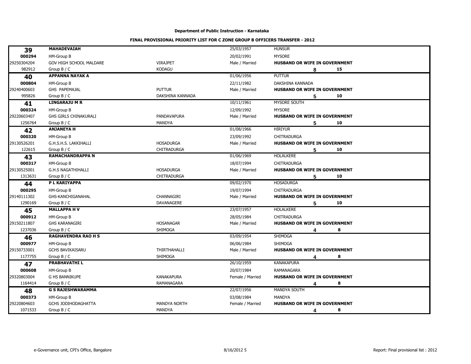| 39          | <b>MAHADEVAIAH</b>         |                     | 25/03/1957       | <b>HUNSUR</b>                        |
|-------------|----------------------------|---------------------|------------------|--------------------------------------|
| 000294      | HM-Group B                 |                     | 20/02/1991       | <b>MYSORE</b>                        |
| 29250304204 | GOV HIGH SCHOOL MALDARE    | <b>VIRAJPET</b>     | Male / Married   | HUSBAND OR WIFE IN GOVERNMENT        |
| 982912      | Group B / C                | <b>KODAGU</b>       |                  | 15<br>8                              |
| 40          | <b>APPANNA NAYAK A</b>     |                     | 01/06/1956       | <b>PUTTUR</b>                        |
| 000804      | HM-Group B                 |                     | 22/11/1982       | DAKSHINA KANNADA                     |
| 29240400603 | GHS PAPEMAJAL              | <b>PUTTUR</b>       | Male / Married   | HUSBAND OR WIFE IN GOVERNMENT        |
| 995826      | Group $B / C$              | DAKSHINA KANNADA    |                  | 10<br>5                              |
| 41          | <b>LINGARAJU M R</b>       |                     | 10/11/1961       | MYSORE SOUTH                         |
| 000324      | HM-Group B                 |                     | 12/09/1992       | <b>MYSORE</b>                        |
| 29220603407 | GHS GIRLS CHINAKURALI      | PANDAVAPURA         | Male / Married   | HUSBAND OR WIFE IN GOVERNMENT        |
| 1256764     | Group $B / C$              | MANDYA              |                  | 10<br>5                              |
| 42          | <b>ANJANEYA H</b>          |                     | 01/08/1966       | <b>HIRIYUR</b>                       |
| 000320      | HM-Group B                 |                     | 23/09/1992       | CHITRADURGA                          |
| 29130526201 | G.H.S.H.S. LAKKIHALLI      | <b>HOSADURGA</b>    | Male / Married   | HUSBAND OR WIFE IN GOVERNMENT        |
| 122615      | Group $B / C$              | <b>CHITRADURGA</b>  |                  | 10<br>5                              |
| 43          | <b>RAMACHANDRAPPA N</b>    |                     | 01/06/1969       | <b>HOLALKERE</b>                     |
| 000317      | HM-Group B                 |                     | 18/07/1994       | CHITRADURGA                          |
| 29130525001 | <b>G.H.S NAGATHIHALLI</b>  | <b>HOSADURGA</b>    | Male / Married   | HUSBAND OR WIFE IN GOVERNMENT        |
| 1313631     | Group $B / C$              | <b>CHITRADURGA</b>  |                  | 10<br>5                              |
| 44          | P L KARIYAPPA              |                     | 09/02/1970       | <b>HOSADURGA</b>                     |
| 000295      | HM-Group B                 |                     | 19/07/1994       | CHITRADURGA                          |
| 29140111302 | GHS-KANCHIGANAHAL          | CHANNAGIRI          | Male / Married   | HUSBAND OR WIFE IN GOVERNMENT        |
| 1290169     | Group $B / C$              | DAVANAGERE          |                  | 10<br>5                              |
| 45          | <b>MALLAPPA HV</b>         |                     | 23/07/1957       | <b>HOLALKERE</b>                     |
| 000912      | HM-Group B                 |                     | 28/05/1984       | CHITRADURGA                          |
| 29150211807 | <b>GHS KARANAGIRI</b>      | <b>HOSANAGAR</b>    | Male / Married   | HUSBAND OR WIFE IN GOVERNMENT        |
| 1237036     | Group $B / C$              | <b>SHIMOGA</b>      |                  | 8<br>4                               |
| 46          | <b>RAGHAVENDRA RAO H S</b> |                     | 03/09/1954       | <b>SHIMOGA</b>                       |
| 000977      | HM-Group B                 |                     | 06/06/1984       | <b>SHIMOGA</b>                       |
| 29150733001 | <b>GCHS BAVIKAISARU</b>    | THIRTHAHALLI        | Male / Married   | HUSBAND OR WIFE IN GOVERNMENT        |
| 1177755     | Group $B / C$              | SHIMOGA             |                  | 8                                    |
| 47          | <b>PRABHAVATHIL</b>        |                     | 26/10/1959       | <b>KANAKAPURA</b>                    |
| 000608      | HM-Group B                 |                     | 20/07/1984       | RAMANAGARA                           |
| 29320803004 | <b>G HS BANNIKUPE</b>      | <b>KANAKAPURA</b>   | Female / Married | HUSBAND OR WIFE IN GOVERNMENT        |
| 1164414     | Group $B / C$              | RAMANAGARA          |                  | 8<br>4                               |
| 48          | <b>G S RAJESHWARAMMA</b>   |                     | 22/07/1956       | MANDYA SOUTH                         |
| 000373      | HM-Group B                 |                     | 03/08/1984       | MANDYA                               |
| 29220804603 | <b>GCHS JODIHODAGHATTA</b> | <b>MANDYA NORTH</b> | Female / Married | <b>HUSBAND OR WIFE IN GOVERNMENT</b> |
| 1071533     | Group $B / C$              | <b>MANDYA</b>       |                  | 8<br>4                               |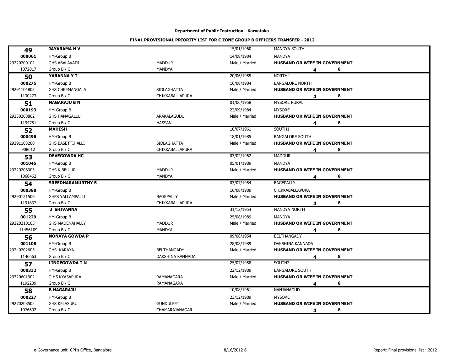| 49          | <b>JAYARAMA HV</b>       |                        | 15/01/1960     | MANDYA SOUTH                         |
|-------------|--------------------------|------------------------|----------------|--------------------------------------|
| 000061      | HM-Group B               |                        | 14/08/1984     | <b>MANDYA</b>                        |
| 29220200102 | <b>GHS ABALAVADI</b>     | <b>MADDUR</b>          | Male / Married | HUSBAND OR WIFE IN GOVERNMENT        |
| 1072017     | Group $B / C$            | MANDYA                 |                | 8<br>4                               |
| 50          | YARANNA Y T              |                        | 20/06/1955     | NORTH4                               |
| 000275      | HM-Group B               |                        | 16/08/1984     | <b>BANGALORE NORTH</b>               |
| 29291104803 | <b>GHS CHEEMANGALA</b>   | SIDLAGHATTA            | Male / Married | HUSBAND OR WIFE IN GOVERNMENT        |
| 1130273     | Group B / C              | CHIKKABALLAPURA        |                | 8<br>4                               |
| 51          | <b>NAGARAJU B N</b>      |                        | 01/06/1958     | <b>MYSORE RURAL</b>                  |
| 000193      | HM-Group B               |                        | 22/09/1984     | <b>MYSORE</b>                        |
| 29230208802 | <b>GHS HANAGALLU</b>     | ARAKALAGUDU            | Male / Married | HUSBAND OR WIFE IN GOVERNMENT        |
| 1194751     | Group $B / C$            | <b>HASSAN</b>          |                | 8<br>4                               |
| 52          | <b>MAHESH</b>            |                        | 10/07/1961     | SOUTH1                               |
| 000496      | HM-Group B               |                        | 18/01/1985     | <b>BANGALORE SOUTH</b>               |
| 29291103208 | <b>GHS BASETTIHALLI</b>  | <b>SIDLAGHATTA</b>     | Male / Married | HUSBAND OR WIFE IN GOVERNMENT        |
| 908612      | Group $B / C$            | <b>CHIKKABALLAPURA</b> |                | 8<br>4                               |
| 53          | <b>DEVEGOWDA HC</b>      |                        | 03/02/1962     | <b>MADDUR</b>                        |
| 001045      | HM-Group B               |                        | 05/01/1989     | <b>MANDYA</b>                        |
| 29220206903 | <b>GHS K.BELLUR</b>      | <b>MADDUR</b>          | Male / Married | HUSBAND OR WIFE IN GOVERNMENT        |
| 1068462     | Group $B / C$            | <b>MANDYA</b>          |                | 8<br>4                               |
| 54          | <b>SREEDHARAMURTHY S</b> |                        | 03/07/1954     | <b>BAGEPALLY</b>                     |
| 000388      | HM-Group B               |                        | 16/08/1989     | <b>CHIKKABALLAPURA</b>               |
| 29290121506 | <b>GHPS YALLAMPALLI</b>  | <b>BAGEPALLY</b>       | Male / Married | <b>HUSBAND OR WIFE IN GOVERNMENT</b> |
| 1191837     | Group $B / C$            | CHIKKABALLAPURA        |                | 8<br>4                               |
| 55          | <b>J SHIVANNA</b>        |                        | 31/12/1954     | MANDYA NORTH                         |
| 001229      | HM-Group B               |                        | 25/08/1989     | <b>MANDYA</b>                        |
| 29220210105 | <b>GHS MADENAHALLY</b>   | <b>MADDUR</b>          | Male / Married | HUSBAND OR WIFE IN GOVERNMENT        |
| 11456109    | Group B / C              | <b>MANDYA</b>          |                | 8<br>4                               |
| 56          | <b>NONAYA GOWDA P</b>    |                        | 09/08/1954     | <b>BELTHANGADY</b>                   |
| 001108      | HM-Group B               |                        | 28/08/1989     | DAKSHINA KANNADA                     |
| 29240202605 | <b>GHS KARAYA</b>        | <b>BELTHANGADY</b>     | Male / Married | <b>HUSBAND OR WIFE IN GOVERNMENT</b> |
| 1146663     | Group $B / C$            | DAKSHINA KANNADA       |                | 8<br>4                               |
| 57          | <b>LINGEGOWDA T N</b>    |                        | 25/07/1958     | SOUTH2                               |
| 000332      | HM-Group B               |                        | 22/12/1989     | <b>BANGALORE SOUTH</b>               |
| 29320601902 | <b>G HS KYASAPURA</b>    | <b>RAMANAGARA</b>      | Male / Married | HUSBAND OR WIFE IN GOVERNMENT        |
| 1192209     | Group $B / C$            | RAMANAGARA             |                | 8<br>4                               |
| 58          | <b>B NAGARAJU</b>        |                        | 10/08/1961     | NANJANAGUD                           |
| 000227      | HM-Group B               |                        | 23/12/1989     | <b>MYSORE</b>                        |
| 29270208502 | <b>GHS KELASURU</b>      | <b>GUNDULPET</b>       | Male / Married | HUSBAND OR WIFE IN GOVERNMENT        |
| 1076692     | Group B / C              | CHAMARAJANAGAR         |                | 8<br>4                               |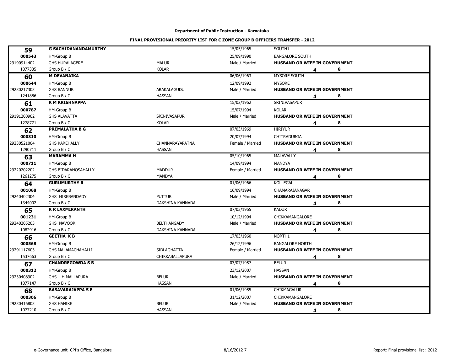| 59          | <b>G SACHIDANANDAMURTHY</b> |                    | 15/05/1965       | SOUTH1                               |
|-------------|-----------------------------|--------------------|------------------|--------------------------------------|
| 000543      | HM-Group B                  |                    | 25/09/1990       | <b>BANGALORE SOUTH</b>               |
| 29190914402 | <b>GHS HURALAGERE</b>       | <b>MALUR</b>       | Male / Married   | HUSBAND OR WIFE IN GOVERNMENT        |
| 1077335     | Group $B / C$               | <b>KOLAR</b>       |                  | 8<br>4                               |
| 60          | <b>M DEVANAIKA</b>          |                    | 06/06/1963       | MYSORE SOUTH                         |
| 000644      | HM-Group B                  |                    | 12/09/1992       | <b>MYSORE</b>                        |
| 29230217303 | <b>GHS BANNUR</b>           | ARAKALAGUDU        | Male / Married   | HUSBAND OR WIFE IN GOVERNMENT        |
| 1241886     | Group B / C                 | <b>HASSAN</b>      |                  | 8<br>4                               |
| 61          | <b>K M KRISHNAPPA</b>       |                    | 15/02/1962       | SRINIVASAPUR                         |
| 000787      | HM-Group B                  |                    | 15/07/1994       | <b>KOLAR</b>                         |
| 29191200902 | <b>GHS ALAVATTA</b>         | SRINIVASAPUR       | Male / Married   | HUSBAND OR WIFE IN GOVERNMENT        |
| 1278771     | Group $B / C$               | <b>KOLAR</b>       |                  | 8<br>4                               |
| 62          | <b>PREMALATHA B G</b>       |                    | 07/03/1969       | <b>HIRIYUR</b>                       |
| 000310      | HM-Group B                  |                    | 20/07/1994       | CHITRADURGA                          |
| 29230521004 | <b>GHS KAREHALLY</b>        | CHANNARAYAPATNA    | Female / Married | HUSBAND OR WIFE IN GOVERNMENT        |
| 1290711     | Group $B / C$               | <b>HASSAN</b>      |                  | 8<br>4                               |
| 63          | <b>MARAMMAH</b>             |                    | 05/10/1965       | MALAVALLY                            |
| 000711      | HM-Group B                  |                    | 14/09/1994       | <b>MANDYA</b>                        |
| 29220202202 | GHS BIDARAHOSAHALLY         | <b>MADDUR</b>      | Female / Married | HUSBAND OR WIFE IN GOVERNMENT        |
| 1261275     | Group $B / C$               | <b>MANDYA</b>      |                  | 8<br>4                               |
| 64          | <b>GURUMURTHY R</b>         |                    | 01/06/1966       | <b>KOLLEGAL</b>                      |
| 001068      | HM-Group B                  |                    | 16/09/1994       | CHAMARAJANAGAR                       |
| 29240402304 | GHS HIREBANDADY             | <b>PUTTUR</b>      | Male / Married   | <b>HUSBAND OR WIFE IN GOVERNMENT</b> |
| 1344002     | Group $B / C$               | DAKSHINA KANNADA   |                  | 8<br>4                               |
| 65          | <b>K R LAXMIKANTH</b>       |                    | 07/03/1965       | <b>KADUR</b>                         |
| 001231      | HM-Group B                  |                    | 10/12/1994       | CHIKKAMANGALORE                      |
| 29240205203 | GHS NAVOOR                  | <b>BELTHANGADY</b> | Male / Married   | HUSBAND OR WIFE IN GOVERNMENT        |
| 1082916     | Group B / C                 | DAKSHINA KANNADA   |                  | 8<br>4                               |
| 66          | <b>GEETHA KB</b>            |                    | 17/03/1960       | NORTH1                               |
| 000568      | HM-Group B                  |                    | 26/12/1996       | <b>BANGALORE NORTH</b>               |
| 29291117603 | <b>GHS MALAMACHAHALLI</b>   | <b>SIDLAGHATTA</b> | Female / Married | <b>HUSBAND OR WIFE IN GOVERNMENT</b> |
| 1537663     | Group $B / C$               | CHIKKABALLAPURA    |                  | 8<br>4                               |
| 67          | <b>CHANDREGOWDA S B</b>     |                    | 03/07/1957       | <b>BELUR</b>                         |
| 000312      | HM-Group B                  |                    | 23/12/2007       | <b>HASSAN</b>                        |
| 29230408902 | GHS H.MALLAPURA             | <b>BELUR</b>       | Male / Married   | HUSBAND OR WIFE IN GOVERNMENT        |
| 1077147     | Group $B / C$               | <b>HASSAN</b>      |                  | 8<br>4                               |
| 68          | <b>BASAVARAJAPPA SE</b>     |                    | 01/06/1955       | CHIKMAGALUR                          |
| 000306      | HM-Group B                  |                    | 31/12/2007       | CHIKKAMANGALORE                      |
| 29230416803 | <b>GHS HANIKE</b>           | <b>BELUR</b>       | Male / Married   | HUSBAND OR WIFE IN GOVERNMENT        |
| 1077210     | Group $B / C$               | <b>HASSAN</b>      |                  | 8<br>4                               |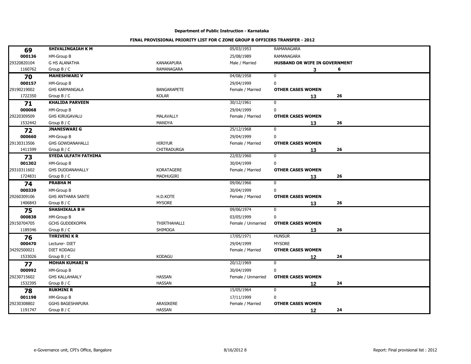| 69          | <b>SHIVALINGAIAH K M</b>    |                    | 05/03/1953         | <b>RAMANAGARA</b>             |    |  |
|-------------|-----------------------------|--------------------|--------------------|-------------------------------|----|--|
| 000136      | HM-Group B                  |                    | 25/08/1989         | RAMANAGARA                    |    |  |
| 29320820104 | <b>G HS ALANATHA</b>        | <b>KANAKAPURA</b>  | Male / Married     | HUSBAND OR WIFE IN GOVERNMENT |    |  |
| 1160762     | Group $B / C$               | <b>RAMANAGARA</b>  |                    | 3                             | 6  |  |
| 70          | <b>MAHESHWARI V</b>         |                    | 04/08/1958         | $\mathbf 0$                   |    |  |
| 000157      | HM-Group B                  |                    | 29/04/1999         | $\pmb{0}$                     |    |  |
| 29190219002 | <b>GHS KARMANGALA</b>       | <b>BANGARAPETE</b> | Female / Married   | <b>OTHER CASES WOMEN</b>      |    |  |
| 1722350     | Group B / C                 | <b>KOLAR</b>       |                    | 13                            | 26 |  |
| 71          | <b>KHALIDA PARVEEN</b>      |                    | 30/12/1961         | 0                             |    |  |
| 000068      | HM-Group B                  |                    | 29/04/1999         | 0                             |    |  |
| 29220309509 | <b>GHS KIRUGAVALU</b>       | <b>MALAVALLY</b>   | Female / Married   | <b>OTHER CASES WOMEN</b>      |    |  |
| 1532442     | Group $B / C$               | MANDYA             |                    | 13                            | 26 |  |
| 72          | <b>JNANESWARI G</b>         |                    | 25/12/1968         | $\mathbf 0$                   |    |  |
| 000660      | HM-Group B                  |                    | 29/04/1999         | 0                             |    |  |
| 29130313506 | <b>GHS GOWDANAHALLI</b>     | <b>HIRIYUR</b>     | Female / Married   | <b>OTHER CASES WOMEN</b>      |    |  |
| 1411599     | Group $B / C$               | <b>CHITRADURGA</b> |                    | 13                            | 26 |  |
| 73          | <b>SYEDA ULFATH FATHIMA</b> |                    | 22/03/1960         | $\mathbf 0$                   |    |  |
| 001302      | HM-Group B                  |                    | 30/04/1999         | 0                             |    |  |
| 29310311602 | <b>GHS DUDDANAHALLY</b>     | <b>KORATAGERE</b>  | Female / Married   | <b>OTHER CASES WOMEN</b>      |    |  |
| 1724831     | Group B / C                 | MADHUGIRI          |                    | 13                            | 26 |  |
| 74          | <b>PRABHAM</b>              |                    | 09/06/1966         | $\mathbf 0$                   |    |  |
| 000339      | HM-Group B                  |                    | 30/04/1999         | 0                             |    |  |
| 29260309106 | <b>GHS ANTHARA SANTE</b>    | H.D.KOTE           | Female / Married   | <b>OTHER CASES WOMEN</b>      |    |  |
| 1406843     | Group $B / C$               | <b>MYSORE</b>      |                    | 13                            | 26 |  |
| 75          | <b>SHASHIKALA B H</b>       |                    | 09/06/1974         | $\mathbf 0$                   |    |  |
| 000838      | HM-Group B                  |                    | 03/05/1999         | $\pmb{0}$                     |    |  |
| 29150704705 | <b>GCHS GUDDEKOPPA</b>      | THIRTHAHALLI       | Female / Unmarried | <b>OTHER CASES WOMEN</b>      |    |  |
| 1189346     | Group $B / C$               | SHIMOGA            |                    | 13                            | 26 |  |
| 76          | <b>THRIVENI K R</b>         |                    | 17/05/1971         | <b>HUNSUR</b>                 |    |  |
| 000470      | Lecturer-DIET               |                    | 29/04/1999         | <b>MYSORE</b>                 |    |  |
| 34292500021 | <b>DIET KODAGU</b>          |                    | Female / Married   | <b>OTHER CASES WOMEN</b>      |    |  |
| 1533026     | Group $B / C$               | <b>KODAGU</b>      |                    | 12                            | 24 |  |
| 77          | <b>MOHAN KUMARI N</b>       |                    | 20/12/1969         | 0                             |    |  |
| 000992      | HM-Group B                  |                    | 30/04/1999         | $\mathbf 0$                   |    |  |
| 29230715602 | <b>GHS KALLAHAALY</b>       | <b>HASSAN</b>      | Female / Unmarried | <b>OTHER CASES WOMEN</b>      |    |  |
| 1532395     | Group $B / C$               | <b>HASSAN</b>      |                    | 12                            | 24 |  |
| 78          | <b>RUKMINI R</b>            |                    | 15/05/1964         | $\mathbf 0$                   |    |  |
| 001198      | HM-Group B                  |                    | 17/11/1999         | 0                             |    |  |
| 29230308802 | <b>GGHS BAGESHAPURA</b>     | ARASIKERE          | Female / Married   | <b>OTHER CASES WOMEN</b>      |    |  |
| 1191747     | Group $B / C$               | <b>HASSAN</b>      |                    | 12                            | 24 |  |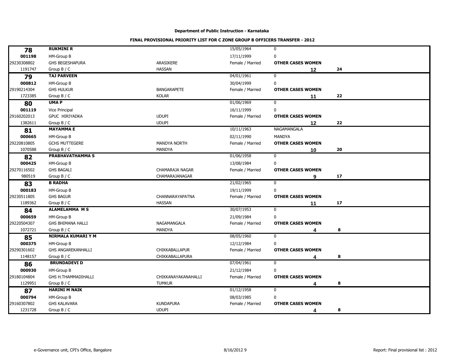| 78          | <b>RUKMINI R</b>                           |                       | 15/05/1964       | $\mathbf 0$              |    |  |
|-------------|--------------------------------------------|-----------------------|------------------|--------------------------|----|--|
| 001198      | HM-Group B                                 |                       | 17/11/1999       | $\mathbf 0$              |    |  |
| 29230308802 | <b>GHS BEGESHAPURA</b>                     | ARASIKERE             | Female / Married | <b>OTHER CASES WOMEN</b> |    |  |
| 1191747     | Group $B / C$                              | <b>HASSAN</b>         |                  | 12                       | 24 |  |
| 79          | <b>TAJ PARVEEN</b>                         |                       | 04/01/1961       | $\mathbf 0$              |    |  |
| 000812      | HM-Group B                                 |                       | 30/04/1999       | $\mathbf 0$              |    |  |
| 29190214304 | <b>GHS HULKUR</b>                          | <b>BANGARAPETE</b>    | Female / Married | <b>OTHER CASES WOMEN</b> |    |  |
| 1723385     | Group $B / C$                              | <b>KOLAR</b>          |                  | 11                       | 22 |  |
| 80          | <b>UMAP</b>                                |                       | 01/06/1969       | $\mathbf 0$              |    |  |
| 001119      | Vice Principal                             |                       | 16/11/1999       | $\mathbf 0$              |    |  |
| 29160202013 | <b>GPUC HIRIYADKA</b>                      | <b>UDUPI</b>          | Female / Married | <b>OTHER CASES WOMEN</b> |    |  |
| 1382611     | Group $B / C$                              | <b>UDUPI</b>          |                  | 12                       | 22 |  |
| 81          | <b>MAYAMMA E</b>                           |                       | 10/11/1963       | NAGAMANGALA              |    |  |
| 000665      | HM-Group B                                 |                       | 02/11/1990       | MANDYA                   |    |  |
| 29220810805 | <b>GCHS MUTTEGERE</b>                      | <b>MANDYA NORTH</b>   | Female / Married | <b>OTHER CASES WOMEN</b> |    |  |
| 1070588     | Group B / C                                | <b>MANDYA</b>         |                  | 10                       | 20 |  |
| 82          | PRABHAVATHAMMA S                           |                       | 01/06/1958       | $\mathbf 0$              |    |  |
| 000425      | HM-Group B                                 |                       | 13/08/1984       | $\mathbf 0$              |    |  |
| 29270116502 | <b>GHS BAGALI</b>                          | CHAMARAJA NAGAR       | Female / Married | <b>OTHER CASES WOMEN</b> |    |  |
| 980519      | Group $B / C$                              | <b>CHAMARAJANAGAR</b> |                  | 9                        | 17 |  |
| 83          | <b>B RADHA</b>                             |                       | 21/02/1965       | $\mathbf 0$              |    |  |
| 000183      | HM-Group B                                 |                       | 19/11/1999       | $\mathbf 0$              |    |  |
| 29230511805 | <b>GHS BAGUR</b>                           | CHANNARAYAPATNA       | Female / Married | <b>OTHER CASES WOMEN</b> |    |  |
| 1189362     | Group B / C                                | <b>HASSAN</b>         |                  | 11                       | 17 |  |
|             | <b>ALAMELAMMA MS</b>                       |                       | 30/07/1953       | 0                        |    |  |
| 84          |                                            |                       |                  |                          |    |  |
| 000659      | HM-Group B                                 |                       | 21/09/1984       | $\mathbf 0$              |    |  |
| 29220504307 | <b>GHS BHIMANA HALLI</b>                   | NAGAMANGALA           | Female / Married | <b>OTHER CASES WOMEN</b> |    |  |
| 1072721     | Group $B / C$<br><b>NIRMALA KUMARI Y M</b> | <b>MANDYA</b>         |                  | 4                        | 8  |  |
| 85          |                                            |                       | 08/05/1960       | $\mathbf 0$              |    |  |
| 000375      | HM-Group B                                 |                       | 12/12/1984       | 0                        |    |  |
| 29290301602 | <b>GHS ANGAREKANHALLI</b>                  | <b>CHIKKABALLAPUR</b> | Female / Married | <b>OTHER CASES WOMEN</b> |    |  |
| 1148157     | Group B / C                                | CHIKKABALLAPURA       |                  | 4                        | 8  |  |
| 86          | <b>BRUNDADEVI D</b>                        |                       | 07/04/1961       | 0                        |    |  |
| 000930      | HM-Group B                                 |                       | 21/12/1984       | $\mathbf 0$              |    |  |
| 29180104804 | GHS H.THAMMADIHALLI                        | CHIKKANAYAKANAHALLI   | Female / Married | <b>OTHER CASES WOMEN</b> |    |  |
| 1129951     | Group $B / C$                              | <b>TUMKUR</b>         |                  | 4                        | 8  |  |
| 87          | <b>HARINI M NAIK</b>                       |                       | 01/12/1958       | $\mathbf 0$              |    |  |
| 000794      | HM-Group B                                 |                       | 08/03/1985       | 0                        |    |  |
| 29160307802 | <b>GHS KALAVARA</b>                        | <b>KUNDAPURA</b>      | Female / Married | <b>OTHER CASES WOMEN</b> |    |  |
| 1231728     | Group B / C                                | <b>UDUPI</b>          |                  | 4                        | 8  |  |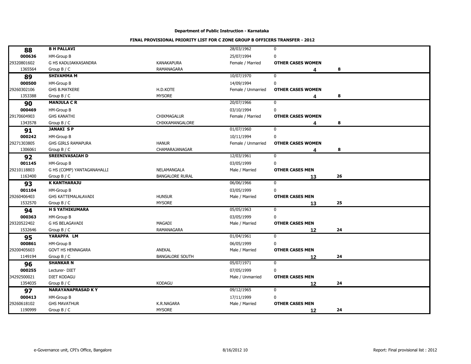| 000636<br><b>HM-Group B</b><br>25/07/1994<br>$\mathbf 0$<br><b>KANAKAPURA</b><br>G HS KADUJAKKASANDRA<br>Female / Married<br><b>OTHER CASES WOMEN</b><br>1365564<br><b>RAMANAGARA</b><br>8<br>Group $B / C$<br>4<br>10/07/1970<br><b>SHIVAMMA M</b><br>0<br>89<br>000500<br>$\pmb{0}$<br><b>HM-Group B</b><br>14/09/1994<br>H.D.KOTE<br><b>GHS B.MATKERE</b><br>Female / Unmarried<br><b>OTHER CASES WOMEN</b><br><b>MYSORE</b><br>1353388<br>Group $B / C$<br>8<br>4<br>20/07/1966<br><b>MANJULA C R</b><br>0<br>90<br>000469<br>HM-Group B<br>03/10/1994<br>0<br><b>GHS KANATHI</b><br>CHIKMAGALUR<br>Female / Married<br><b>OTHER CASES WOMEN</b><br>1343578<br>CHIKKAMANGALORE<br>Group $B / C$<br>8<br>4<br>01/07/1960<br>$\mathbf 0$<br><b>JANAKI SP</b><br>91<br>000242<br>$\pmb{0}$<br>HM-Group B<br>10/11/1994<br><b>HANUR</b><br><b>GHS GIRLS RAMAPURA</b><br>Female / Unmarried<br><b>OTHER CASES WOMEN</b><br>1306061<br>CHAMARAJANAGAR<br>Group $B / C$<br>8<br>Δ<br><b>SREENIVASAIAH D</b><br>12/03/1961<br>$\mathbf 0$<br>92<br>001145<br>HM-Group B<br>03/05/1999<br>$\pmb{0}$<br>G HS (COMP) YANTAGANAHALLI<br>NELAMANGALA<br><b>OTHER CASES MEN</b><br>Male / Married<br>1163400<br>Group B / C<br><b>BANGALORE RURAL</b><br>26<br>13<br><b>K KANTHARAJU</b><br>06/06/1966<br>$\mathbf 0$<br>93<br>001104<br><b>HM-Group B</b><br>03/05/1999<br>$\mathbf 0$<br>29260406403<br>GHS KATTEMALALAVADI<br><b>HUNSUR</b><br><b>OTHER CASES MEN</b><br>Male / Married<br><b>MYSORE</b><br>1532570<br>25<br>Group $B / C$<br>13<br><b>H S YATHIKUMARA</b><br>05/05/1963<br>0<br>94<br>000363<br>$\bf{0}$<br>HM-Group B<br>03/05/1999<br><b>G HS BELAGAVADI</b><br><b>MAGADI</b><br><b>OTHER CASES MEN</b><br>Male / Married<br>RAMANAGARA<br>1532646<br>Group B / C<br>24<br>12<br>YARAPPA LM<br>01/04/1961<br>0<br>95<br>000861<br><b>HM-Group B</b><br>06/05/1999<br>0<br><b>GOVT HS HENNAGARA</b><br>ANEKAL<br>Male / Married<br><b>OTHER CASES MEN</b><br>1149194<br><b>BANGALORE SOUTH</b><br>Group $B / C$<br>24<br>12<br>05/07/1971<br><b>SHANKAR N</b><br>0<br>96<br>000255<br>07/05/1999<br>$\mathbf 0$<br>Lecturer-DIET<br><b>OTHER CASES MEN</b><br><b>DIET KODAGU</b><br>Male / Unmarried<br><b>KODAGU</b><br>1354035<br>Group $B / C$<br>24<br>12<br><b>NARAYANAPRASAD KY</b><br>09/12/1965<br>$\mathbf 0$<br>97<br>000413<br>17/11/1999<br>HM-Group B<br>0<br><b>GHS MAVATHUR</b><br>K.R.NAGARA<br>Male / Married<br><b>OTHER CASES MEN</b><br>1190999<br><b>MYSORE</b><br>24<br>Group $B / C$<br>12 |             |                    |            |             |  |
|------------------------------------------------------------------------------------------------------------------------------------------------------------------------------------------------------------------------------------------------------------------------------------------------------------------------------------------------------------------------------------------------------------------------------------------------------------------------------------------------------------------------------------------------------------------------------------------------------------------------------------------------------------------------------------------------------------------------------------------------------------------------------------------------------------------------------------------------------------------------------------------------------------------------------------------------------------------------------------------------------------------------------------------------------------------------------------------------------------------------------------------------------------------------------------------------------------------------------------------------------------------------------------------------------------------------------------------------------------------------------------------------------------------------------------------------------------------------------------------------------------------------------------------------------------------------------------------------------------------------------------------------------------------------------------------------------------------------------------------------------------------------------------------------------------------------------------------------------------------------------------------------------------------------------------------------------------------------------------------------------------------------------------------------------------------------------------------------------------------------------------------------------------------------------------------------------------------------------------------------------------------------------------------------------------------------------------------------------------------------------------------------------------------------------------------------------------------------------------------------------------------------------|-------------|--------------------|------------|-------------|--|
|                                                                                                                                                                                                                                                                                                                                                                                                                                                                                                                                                                                                                                                                                                                                                                                                                                                                                                                                                                                                                                                                                                                                                                                                                                                                                                                                                                                                                                                                                                                                                                                                                                                                                                                                                                                                                                                                                                                                                                                                                                                                                                                                                                                                                                                                                                                                                                                                                                                                                                                              | 88          | <b>B H PALLAVI</b> | 28/03/1962 | $\mathbf 0$ |  |
|                                                                                                                                                                                                                                                                                                                                                                                                                                                                                                                                                                                                                                                                                                                                                                                                                                                                                                                                                                                                                                                                                                                                                                                                                                                                                                                                                                                                                                                                                                                                                                                                                                                                                                                                                                                                                                                                                                                                                                                                                                                                                                                                                                                                                                                                                                                                                                                                                                                                                                                              |             |                    |            |             |  |
|                                                                                                                                                                                                                                                                                                                                                                                                                                                                                                                                                                                                                                                                                                                                                                                                                                                                                                                                                                                                                                                                                                                                                                                                                                                                                                                                                                                                                                                                                                                                                                                                                                                                                                                                                                                                                                                                                                                                                                                                                                                                                                                                                                                                                                                                                                                                                                                                                                                                                                                              | 29320801602 |                    |            |             |  |
|                                                                                                                                                                                                                                                                                                                                                                                                                                                                                                                                                                                                                                                                                                                                                                                                                                                                                                                                                                                                                                                                                                                                                                                                                                                                                                                                                                                                                                                                                                                                                                                                                                                                                                                                                                                                                                                                                                                                                                                                                                                                                                                                                                                                                                                                                                                                                                                                                                                                                                                              |             |                    |            |             |  |
|                                                                                                                                                                                                                                                                                                                                                                                                                                                                                                                                                                                                                                                                                                                                                                                                                                                                                                                                                                                                                                                                                                                                                                                                                                                                                                                                                                                                                                                                                                                                                                                                                                                                                                                                                                                                                                                                                                                                                                                                                                                                                                                                                                                                                                                                                                                                                                                                                                                                                                                              |             |                    |            |             |  |
|                                                                                                                                                                                                                                                                                                                                                                                                                                                                                                                                                                                                                                                                                                                                                                                                                                                                                                                                                                                                                                                                                                                                                                                                                                                                                                                                                                                                                                                                                                                                                                                                                                                                                                                                                                                                                                                                                                                                                                                                                                                                                                                                                                                                                                                                                                                                                                                                                                                                                                                              |             |                    |            |             |  |
|                                                                                                                                                                                                                                                                                                                                                                                                                                                                                                                                                                                                                                                                                                                                                                                                                                                                                                                                                                                                                                                                                                                                                                                                                                                                                                                                                                                                                                                                                                                                                                                                                                                                                                                                                                                                                                                                                                                                                                                                                                                                                                                                                                                                                                                                                                                                                                                                                                                                                                                              | 29260302106 |                    |            |             |  |
|                                                                                                                                                                                                                                                                                                                                                                                                                                                                                                                                                                                                                                                                                                                                                                                                                                                                                                                                                                                                                                                                                                                                                                                                                                                                                                                                                                                                                                                                                                                                                                                                                                                                                                                                                                                                                                                                                                                                                                                                                                                                                                                                                                                                                                                                                                                                                                                                                                                                                                                              |             |                    |            |             |  |
|                                                                                                                                                                                                                                                                                                                                                                                                                                                                                                                                                                                                                                                                                                                                                                                                                                                                                                                                                                                                                                                                                                                                                                                                                                                                                                                                                                                                                                                                                                                                                                                                                                                                                                                                                                                                                                                                                                                                                                                                                                                                                                                                                                                                                                                                                                                                                                                                                                                                                                                              |             |                    |            |             |  |
|                                                                                                                                                                                                                                                                                                                                                                                                                                                                                                                                                                                                                                                                                                                                                                                                                                                                                                                                                                                                                                                                                                                                                                                                                                                                                                                                                                                                                                                                                                                                                                                                                                                                                                                                                                                                                                                                                                                                                                                                                                                                                                                                                                                                                                                                                                                                                                                                                                                                                                                              |             |                    |            |             |  |
|                                                                                                                                                                                                                                                                                                                                                                                                                                                                                                                                                                                                                                                                                                                                                                                                                                                                                                                                                                                                                                                                                                                                                                                                                                                                                                                                                                                                                                                                                                                                                                                                                                                                                                                                                                                                                                                                                                                                                                                                                                                                                                                                                                                                                                                                                                                                                                                                                                                                                                                              | 29170604903 |                    |            |             |  |
|                                                                                                                                                                                                                                                                                                                                                                                                                                                                                                                                                                                                                                                                                                                                                                                                                                                                                                                                                                                                                                                                                                                                                                                                                                                                                                                                                                                                                                                                                                                                                                                                                                                                                                                                                                                                                                                                                                                                                                                                                                                                                                                                                                                                                                                                                                                                                                                                                                                                                                                              |             |                    |            |             |  |
|                                                                                                                                                                                                                                                                                                                                                                                                                                                                                                                                                                                                                                                                                                                                                                                                                                                                                                                                                                                                                                                                                                                                                                                                                                                                                                                                                                                                                                                                                                                                                                                                                                                                                                                                                                                                                                                                                                                                                                                                                                                                                                                                                                                                                                                                                                                                                                                                                                                                                                                              |             |                    |            |             |  |
|                                                                                                                                                                                                                                                                                                                                                                                                                                                                                                                                                                                                                                                                                                                                                                                                                                                                                                                                                                                                                                                                                                                                                                                                                                                                                                                                                                                                                                                                                                                                                                                                                                                                                                                                                                                                                                                                                                                                                                                                                                                                                                                                                                                                                                                                                                                                                                                                                                                                                                                              |             |                    |            |             |  |
|                                                                                                                                                                                                                                                                                                                                                                                                                                                                                                                                                                                                                                                                                                                                                                                                                                                                                                                                                                                                                                                                                                                                                                                                                                                                                                                                                                                                                                                                                                                                                                                                                                                                                                                                                                                                                                                                                                                                                                                                                                                                                                                                                                                                                                                                                                                                                                                                                                                                                                                              | 29271303805 |                    |            |             |  |
|                                                                                                                                                                                                                                                                                                                                                                                                                                                                                                                                                                                                                                                                                                                                                                                                                                                                                                                                                                                                                                                                                                                                                                                                                                                                                                                                                                                                                                                                                                                                                                                                                                                                                                                                                                                                                                                                                                                                                                                                                                                                                                                                                                                                                                                                                                                                                                                                                                                                                                                              |             |                    |            |             |  |
|                                                                                                                                                                                                                                                                                                                                                                                                                                                                                                                                                                                                                                                                                                                                                                                                                                                                                                                                                                                                                                                                                                                                                                                                                                                                                                                                                                                                                                                                                                                                                                                                                                                                                                                                                                                                                                                                                                                                                                                                                                                                                                                                                                                                                                                                                                                                                                                                                                                                                                                              |             |                    |            |             |  |
|                                                                                                                                                                                                                                                                                                                                                                                                                                                                                                                                                                                                                                                                                                                                                                                                                                                                                                                                                                                                                                                                                                                                                                                                                                                                                                                                                                                                                                                                                                                                                                                                                                                                                                                                                                                                                                                                                                                                                                                                                                                                                                                                                                                                                                                                                                                                                                                                                                                                                                                              |             |                    |            |             |  |
|                                                                                                                                                                                                                                                                                                                                                                                                                                                                                                                                                                                                                                                                                                                                                                                                                                                                                                                                                                                                                                                                                                                                                                                                                                                                                                                                                                                                                                                                                                                                                                                                                                                                                                                                                                                                                                                                                                                                                                                                                                                                                                                                                                                                                                                                                                                                                                                                                                                                                                                              | 29210118803 |                    |            |             |  |
|                                                                                                                                                                                                                                                                                                                                                                                                                                                                                                                                                                                                                                                                                                                                                                                                                                                                                                                                                                                                                                                                                                                                                                                                                                                                                                                                                                                                                                                                                                                                                                                                                                                                                                                                                                                                                                                                                                                                                                                                                                                                                                                                                                                                                                                                                                                                                                                                                                                                                                                              |             |                    |            |             |  |
|                                                                                                                                                                                                                                                                                                                                                                                                                                                                                                                                                                                                                                                                                                                                                                                                                                                                                                                                                                                                                                                                                                                                                                                                                                                                                                                                                                                                                                                                                                                                                                                                                                                                                                                                                                                                                                                                                                                                                                                                                                                                                                                                                                                                                                                                                                                                                                                                                                                                                                                              |             |                    |            |             |  |
|                                                                                                                                                                                                                                                                                                                                                                                                                                                                                                                                                                                                                                                                                                                                                                                                                                                                                                                                                                                                                                                                                                                                                                                                                                                                                                                                                                                                                                                                                                                                                                                                                                                                                                                                                                                                                                                                                                                                                                                                                                                                                                                                                                                                                                                                                                                                                                                                                                                                                                                              |             |                    |            |             |  |
|                                                                                                                                                                                                                                                                                                                                                                                                                                                                                                                                                                                                                                                                                                                                                                                                                                                                                                                                                                                                                                                                                                                                                                                                                                                                                                                                                                                                                                                                                                                                                                                                                                                                                                                                                                                                                                                                                                                                                                                                                                                                                                                                                                                                                                                                                                                                                                                                                                                                                                                              |             |                    |            |             |  |
|                                                                                                                                                                                                                                                                                                                                                                                                                                                                                                                                                                                                                                                                                                                                                                                                                                                                                                                                                                                                                                                                                                                                                                                                                                                                                                                                                                                                                                                                                                                                                                                                                                                                                                                                                                                                                                                                                                                                                                                                                                                                                                                                                                                                                                                                                                                                                                                                                                                                                                                              |             |                    |            |             |  |
|                                                                                                                                                                                                                                                                                                                                                                                                                                                                                                                                                                                                                                                                                                                                                                                                                                                                                                                                                                                                                                                                                                                                                                                                                                                                                                                                                                                                                                                                                                                                                                                                                                                                                                                                                                                                                                                                                                                                                                                                                                                                                                                                                                                                                                                                                                                                                                                                                                                                                                                              |             |                    |            |             |  |
|                                                                                                                                                                                                                                                                                                                                                                                                                                                                                                                                                                                                                                                                                                                                                                                                                                                                                                                                                                                                                                                                                                                                                                                                                                                                                                                                                                                                                                                                                                                                                                                                                                                                                                                                                                                                                                                                                                                                                                                                                                                                                                                                                                                                                                                                                                                                                                                                                                                                                                                              |             |                    |            |             |  |
|                                                                                                                                                                                                                                                                                                                                                                                                                                                                                                                                                                                                                                                                                                                                                                                                                                                                                                                                                                                                                                                                                                                                                                                                                                                                                                                                                                                                                                                                                                                                                                                                                                                                                                                                                                                                                                                                                                                                                                                                                                                                                                                                                                                                                                                                                                                                                                                                                                                                                                                              | 29320522402 |                    |            |             |  |
|                                                                                                                                                                                                                                                                                                                                                                                                                                                                                                                                                                                                                                                                                                                                                                                                                                                                                                                                                                                                                                                                                                                                                                                                                                                                                                                                                                                                                                                                                                                                                                                                                                                                                                                                                                                                                                                                                                                                                                                                                                                                                                                                                                                                                                                                                                                                                                                                                                                                                                                              |             |                    |            |             |  |
|                                                                                                                                                                                                                                                                                                                                                                                                                                                                                                                                                                                                                                                                                                                                                                                                                                                                                                                                                                                                                                                                                                                                                                                                                                                                                                                                                                                                                                                                                                                                                                                                                                                                                                                                                                                                                                                                                                                                                                                                                                                                                                                                                                                                                                                                                                                                                                                                                                                                                                                              |             |                    |            |             |  |
|                                                                                                                                                                                                                                                                                                                                                                                                                                                                                                                                                                                                                                                                                                                                                                                                                                                                                                                                                                                                                                                                                                                                                                                                                                                                                                                                                                                                                                                                                                                                                                                                                                                                                                                                                                                                                                                                                                                                                                                                                                                                                                                                                                                                                                                                                                                                                                                                                                                                                                                              |             |                    |            |             |  |
|                                                                                                                                                                                                                                                                                                                                                                                                                                                                                                                                                                                                                                                                                                                                                                                                                                                                                                                                                                                                                                                                                                                                                                                                                                                                                                                                                                                                                                                                                                                                                                                                                                                                                                                                                                                                                                                                                                                                                                                                                                                                                                                                                                                                                                                                                                                                                                                                                                                                                                                              | 29200405603 |                    |            |             |  |
|                                                                                                                                                                                                                                                                                                                                                                                                                                                                                                                                                                                                                                                                                                                                                                                                                                                                                                                                                                                                                                                                                                                                                                                                                                                                                                                                                                                                                                                                                                                                                                                                                                                                                                                                                                                                                                                                                                                                                                                                                                                                                                                                                                                                                                                                                                                                                                                                                                                                                                                              |             |                    |            |             |  |
|                                                                                                                                                                                                                                                                                                                                                                                                                                                                                                                                                                                                                                                                                                                                                                                                                                                                                                                                                                                                                                                                                                                                                                                                                                                                                                                                                                                                                                                                                                                                                                                                                                                                                                                                                                                                                                                                                                                                                                                                                                                                                                                                                                                                                                                                                                                                                                                                                                                                                                                              |             |                    |            |             |  |
|                                                                                                                                                                                                                                                                                                                                                                                                                                                                                                                                                                                                                                                                                                                                                                                                                                                                                                                                                                                                                                                                                                                                                                                                                                                                                                                                                                                                                                                                                                                                                                                                                                                                                                                                                                                                                                                                                                                                                                                                                                                                                                                                                                                                                                                                                                                                                                                                                                                                                                                              |             |                    |            |             |  |
|                                                                                                                                                                                                                                                                                                                                                                                                                                                                                                                                                                                                                                                                                                                                                                                                                                                                                                                                                                                                                                                                                                                                                                                                                                                                                                                                                                                                                                                                                                                                                                                                                                                                                                                                                                                                                                                                                                                                                                                                                                                                                                                                                                                                                                                                                                                                                                                                                                                                                                                              | 34292500021 |                    |            |             |  |
|                                                                                                                                                                                                                                                                                                                                                                                                                                                                                                                                                                                                                                                                                                                                                                                                                                                                                                                                                                                                                                                                                                                                                                                                                                                                                                                                                                                                                                                                                                                                                                                                                                                                                                                                                                                                                                                                                                                                                                                                                                                                                                                                                                                                                                                                                                                                                                                                                                                                                                                              |             |                    |            |             |  |
|                                                                                                                                                                                                                                                                                                                                                                                                                                                                                                                                                                                                                                                                                                                                                                                                                                                                                                                                                                                                                                                                                                                                                                                                                                                                                                                                                                                                                                                                                                                                                                                                                                                                                                                                                                                                                                                                                                                                                                                                                                                                                                                                                                                                                                                                                                                                                                                                                                                                                                                              |             |                    |            |             |  |
|                                                                                                                                                                                                                                                                                                                                                                                                                                                                                                                                                                                                                                                                                                                                                                                                                                                                                                                                                                                                                                                                                                                                                                                                                                                                                                                                                                                                                                                                                                                                                                                                                                                                                                                                                                                                                                                                                                                                                                                                                                                                                                                                                                                                                                                                                                                                                                                                                                                                                                                              |             |                    |            |             |  |
|                                                                                                                                                                                                                                                                                                                                                                                                                                                                                                                                                                                                                                                                                                                                                                                                                                                                                                                                                                                                                                                                                                                                                                                                                                                                                                                                                                                                                                                                                                                                                                                                                                                                                                                                                                                                                                                                                                                                                                                                                                                                                                                                                                                                                                                                                                                                                                                                                                                                                                                              | 29260618102 |                    |            |             |  |
|                                                                                                                                                                                                                                                                                                                                                                                                                                                                                                                                                                                                                                                                                                                                                                                                                                                                                                                                                                                                                                                                                                                                                                                                                                                                                                                                                                                                                                                                                                                                                                                                                                                                                                                                                                                                                                                                                                                                                                                                                                                                                                                                                                                                                                                                                                                                                                                                                                                                                                                              |             |                    |            |             |  |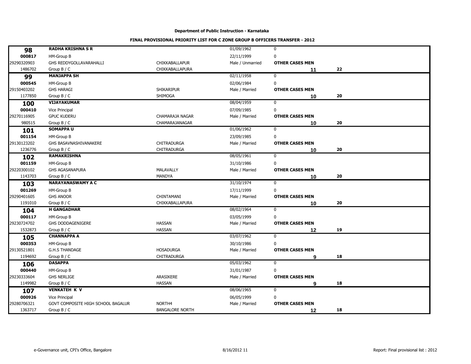|             |                                    |                        |                  | $\mathbf 0$            |    |  |
|-------------|------------------------------------|------------------------|------------------|------------------------|----|--|
| 98          | <b>RADHA KRISHNA S R</b>           |                        | 01/09/1962       |                        |    |  |
| 000817      | HM-Group B                         |                        | 22/11/1999       | $\mathbf 0$            |    |  |
| 29290320903 | GHS REDDYGOLLAVARAHALLI            | CHIKKABALLAPUR         | Male / Unmarried | <b>OTHER CASES MEN</b> |    |  |
| 1486702     | Group B / C                        | CHIKKABALLAPURA        |                  | 11                     | 22 |  |
| 99          | <b>MANJAPPA SH</b>                 |                        | 02/11/1958       | $\mathbf 0$            |    |  |
| 000545      | HM-Group B                         |                        | 02/06/1984       | $\mathbf 0$            |    |  |
| 29150403202 | <b>GHS HARAGI</b>                  | <b>SHIKARIPUR</b>      | Male / Married   | <b>OTHER CASES MEN</b> |    |  |
| 1177850     | Group $B / C$                      | SHIMOGA                |                  | 10                     | 20 |  |
| 100         | <b>VIJAYAKUMAR</b>                 |                        | 08/04/1959       | $\mathbf 0$            |    |  |
| 000410      | Vice Principal                     |                        | 07/09/1985       | $\mathbf 0$            |    |  |
| 29270116905 | <b>GPUC KUDERU</b>                 | CHAMARAJA NAGAR        | Male / Married   | <b>OTHER CASES MEN</b> |    |  |
| 980515      | Group $B / C$                      | <b>CHAMARAJANAGAR</b>  |                  | 10                     | 20 |  |
| 101         | <b>SOMAPPAU</b>                    |                        | 01/06/1962       | $\mathbf 0$            |    |  |
| 001154      | HM-Group B                         |                        | 23/09/1985       | $\mathbf 0$            |    |  |
| 29130123202 | GHS BASAVNASHIVANAKERE             | <b>CHITRADURGA</b>     | Male / Married   | <b>OTHER CASES MEN</b> |    |  |
| 1236776     | Group $B / C$                      | CHITRADURGA            |                  | 10                     | 20 |  |
| 102         | <b>RAMAKRISHNA</b>                 |                        | 08/05/1961       | $\bf{0}$               |    |  |
| 001159      | HM-Group B                         |                        | 31/10/1986       | $\mathbf 0$            |    |  |
| 29220300102 | <b>GHS AGASANAPURA</b>             | MALAVALLY              | Male / Married   | <b>OTHER CASES MEN</b> |    |  |
| 1143703     | Group $B / C$                      | <b>MANDYA</b>          |                  | 10                     | 20 |  |
| 103         | <b>NARAYANASWAMY A C</b>           |                        | 31/10/1974       | $\mathbf 0$            |    |  |
| 001269      | HM-Group B                         |                        | 17/11/1999       | $\mathbf 0$            |    |  |
| 29290401605 | <b>GHS ANOOR</b>                   | CHINTAMANI             | Male / Married   | <b>OTHER CASES MEN</b> |    |  |
| 1191010     | Group $B / C$                      | CHIKKABALLAPURA        |                  | 10                     | 20 |  |
| 104         | <b>H GANGADHAR</b>                 |                        | 08/02/1964       | 0                      |    |  |
| 000117      | HM-Group B                         |                        | 03/05/1999       | $\mathbf 0$            |    |  |
| 29230724702 | GHS DODDAGENIGERE                  | <b>HASSAN</b>          | Male / Married   | <b>OTHER CASES MEN</b> |    |  |
| 1532873     | Group B / C                        | <b>HASSAN</b>          |                  | 12                     | 19 |  |
| 105         | <b>CHANNAPPA A</b>                 |                        | 03/07/1962       | $\mathbf 0$            |    |  |
| 000353      | HM-Group B                         |                        | 30/10/1986       | 0                      |    |  |
| 29130521801 | <b>G.H.S THANDAGE</b>              | <b>HOSADURGA</b>       | Male / Married   | <b>OTHER CASES MEN</b> |    |  |
| 1194692     | Group $B / C$                      | <b>CHITRADURGA</b>     |                  | 9                      | 18 |  |
| 106         | <b>DASAPPA</b>                     |                        | 05/03/1962       | 0                      |    |  |
| 000440      | HM-Group B                         |                        | 31/01/1987       | $\mathbf 0$            |    |  |
| 29230333604 | <b>GHS NERLIGE</b>                 | ARASIKERE              | Male / Married   | <b>OTHER CASES MEN</b> |    |  |
| 1149982     | Group $B / C$                      | <b>HASSAN</b>          |                  | 9                      | 18 |  |
| 107         | <b>VENKATEH K V</b>                |                        | 08/06/1965       | $\bf{0}$               |    |  |
| 000926      | Vice Principal                     |                        | 06/05/1999       | $\pmb{0}$              |    |  |
| 29280706321 | GOVT COMPOSITE HIGH SCHOOL BAGALUR | NORTH <sub>4</sub>     | Male / Married   | <b>OTHER CASES MEN</b> |    |  |
| 1363717     | Group $B / C$                      | <b>BANGALORE NORTH</b> |                  |                        | 18 |  |
|             |                                    |                        |                  | 12                     |    |  |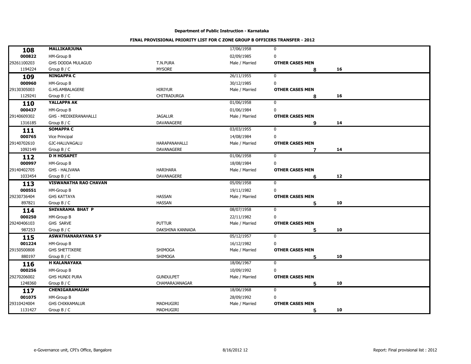| 108<br>000822<br>HM-Group B<br>02/09/1985<br>$\mathbf 0$<br>29261100203<br>T.N.PURA<br>GHS DODDA MULAGUD<br>Male / Married<br><b>OTHER CASES MEN</b><br><b>MYSORE</b><br>1194224<br>Group $B / C$<br>16<br>8<br><b>NINGAPPA C</b><br>26/11/1955<br>$\mathbf 0$<br>109<br>000960<br>$\mathbf 0$<br>HM-Group B<br>30/12/1985<br><b>HIRIYUR</b><br>29130305003<br>G.HS.AMBALAGERE<br>Male / Married<br><b>OTHER CASES MEN</b><br><b>CHITRADURGA</b><br>1129241<br>Group B / C<br>16<br>8<br>YALLAPPA AK<br>01/06/1958<br>$\mathbf 0$<br>110<br>000437<br>HM-Group B<br>01/06/1984<br>$\mathbf 0$<br>29140609302<br><b>JAGALUR</b><br><b>GHS - MEDIKERANAHALLI</b><br>Male / Married<br><b>OTHER CASES MEN</b><br>DAVANAGERE<br>1316185<br>Group $B / C$<br>14<br>9<br>03/03/1955<br><b>SOMAPPA C</b><br>$\mathbf 0$<br>111<br>000765<br>$\mathbf 0$<br>Vice Principal<br>14/08/1984<br>29140702610<br>GJC-HALUVAGALU<br><b>HARAPANAHALLI</b><br>Male / Married<br><b>OTHER CASES MEN</b><br><b>DAVANAGERE</b><br>1092149<br>Group B / C<br>14<br>$\overline{7}$<br><b>D H HOSAPET</b><br>01/06/1958<br>$\mathbf 0$<br>112<br>000997<br>$\mathbf 0$<br>HM-Group B<br>18/08/1984<br>29140402705<br><b>HARIHARA</b><br><b>GHS - HALIVANA</b><br>Male / Married<br><b>OTHER CASES MEN</b><br>1033454<br>Group B / C<br>DAVANAGERE<br>12<br>6<br><b>VISWANATHA RAO CHAVAN</b><br>05/09/1958<br>$\mathbf 0$<br>113<br>000551<br>19/11/1982<br>$\mathbf 0$<br>HM-Group B<br><b>HASSAN</b><br>29230736404<br><b>GHS KATTAYA</b><br>Male / Married<br><b>OTHER CASES MEN</b><br><b>HASSAN</b><br>897821<br>10<br>Group B / C<br>5<br>SHIVARAMA BHAT P<br>08/07/1958<br>0<br>114<br>000250<br>HM-Group B<br>$\mathbf 0$<br>22/11/1982<br><b>PUTTUR</b><br>29240406103<br>GHS SARVE<br>Male / Married<br><b>OTHER CASES MEN</b><br>987253<br>DAKSHINA KANNADA<br>Group B / C<br>10<br>5<br><b>ASWATHANARAYANA S P</b><br>05/12/1957<br>$\mathbf 0$<br>115<br>001224<br>HM-Group B<br>16/12/1982<br>0<br>29150500808<br>SHIMOGA<br><b>GHS SHETTIKERE</b><br>Male / Married<br><b>OTHER CASES MEN</b><br>880197<br>SHIMOGA<br>10<br>Group B / C<br>5<br>18/06/1967<br><b>H KALANAYAKA</b><br>0<br>116<br>000256<br>$\mathbf 0$<br>HM-Group B<br>10/09/1992<br><b>GUNDULPET</b><br><b>OTHER CASES MEN</b><br>29270206002<br><b>GHS HUNDI PURA</b><br>Male / Married<br>1248360<br><b>CHAMARAJANAGAR</b><br>10<br>Group $B / C$<br>5<br>CHENIGARAMAIAH<br>18/06/1968<br>$\mathbf 0$<br>117<br>001075<br>HM-Group B<br>28/09/1992<br>$\pmb{0}$<br>29310424004<br><b>GHS CHIKKAMALUR</b><br>MADHUGIRI<br>Male / Married<br><b>OTHER CASES MEN</b><br>1131427<br><b>MADHUGIRI</b><br>10<br>Group $B / C$<br>5 |              |            |             |  |
|------------------------------------------------------------------------------------------------------------------------------------------------------------------------------------------------------------------------------------------------------------------------------------------------------------------------------------------------------------------------------------------------------------------------------------------------------------------------------------------------------------------------------------------------------------------------------------------------------------------------------------------------------------------------------------------------------------------------------------------------------------------------------------------------------------------------------------------------------------------------------------------------------------------------------------------------------------------------------------------------------------------------------------------------------------------------------------------------------------------------------------------------------------------------------------------------------------------------------------------------------------------------------------------------------------------------------------------------------------------------------------------------------------------------------------------------------------------------------------------------------------------------------------------------------------------------------------------------------------------------------------------------------------------------------------------------------------------------------------------------------------------------------------------------------------------------------------------------------------------------------------------------------------------------------------------------------------------------------------------------------------------------------------------------------------------------------------------------------------------------------------------------------------------------------------------------------------------------------------------------------------------------------------------------------------------------------------------------------------------------------------------------------------------------------------------------------------------------------------------------------------------------------------------------------------------------------------------------------------------------------------------------------------------------------------------|--------------|------------|-------------|--|
|                                                                                                                                                                                                                                                                                                                                                                                                                                                                                                                                                                                                                                                                                                                                                                                                                                                                                                                                                                                                                                                                                                                                                                                                                                                                                                                                                                                                                                                                                                                                                                                                                                                                                                                                                                                                                                                                                                                                                                                                                                                                                                                                                                                                                                                                                                                                                                                                                                                                                                                                                                                                                                                                                          | MALLIKARJUNA | 17/06/1958 | $\mathbf 0$ |  |
|                                                                                                                                                                                                                                                                                                                                                                                                                                                                                                                                                                                                                                                                                                                                                                                                                                                                                                                                                                                                                                                                                                                                                                                                                                                                                                                                                                                                                                                                                                                                                                                                                                                                                                                                                                                                                                                                                                                                                                                                                                                                                                                                                                                                                                                                                                                                                                                                                                                                                                                                                                                                                                                                                          |              |            |             |  |
|                                                                                                                                                                                                                                                                                                                                                                                                                                                                                                                                                                                                                                                                                                                                                                                                                                                                                                                                                                                                                                                                                                                                                                                                                                                                                                                                                                                                                                                                                                                                                                                                                                                                                                                                                                                                                                                                                                                                                                                                                                                                                                                                                                                                                                                                                                                                                                                                                                                                                                                                                                                                                                                                                          |              |            |             |  |
|                                                                                                                                                                                                                                                                                                                                                                                                                                                                                                                                                                                                                                                                                                                                                                                                                                                                                                                                                                                                                                                                                                                                                                                                                                                                                                                                                                                                                                                                                                                                                                                                                                                                                                                                                                                                                                                                                                                                                                                                                                                                                                                                                                                                                                                                                                                                                                                                                                                                                                                                                                                                                                                                                          |              |            |             |  |
|                                                                                                                                                                                                                                                                                                                                                                                                                                                                                                                                                                                                                                                                                                                                                                                                                                                                                                                                                                                                                                                                                                                                                                                                                                                                                                                                                                                                                                                                                                                                                                                                                                                                                                                                                                                                                                                                                                                                                                                                                                                                                                                                                                                                                                                                                                                                                                                                                                                                                                                                                                                                                                                                                          |              |            |             |  |
|                                                                                                                                                                                                                                                                                                                                                                                                                                                                                                                                                                                                                                                                                                                                                                                                                                                                                                                                                                                                                                                                                                                                                                                                                                                                                                                                                                                                                                                                                                                                                                                                                                                                                                                                                                                                                                                                                                                                                                                                                                                                                                                                                                                                                                                                                                                                                                                                                                                                                                                                                                                                                                                                                          |              |            |             |  |
|                                                                                                                                                                                                                                                                                                                                                                                                                                                                                                                                                                                                                                                                                                                                                                                                                                                                                                                                                                                                                                                                                                                                                                                                                                                                                                                                                                                                                                                                                                                                                                                                                                                                                                                                                                                                                                                                                                                                                                                                                                                                                                                                                                                                                                                                                                                                                                                                                                                                                                                                                                                                                                                                                          |              |            |             |  |
|                                                                                                                                                                                                                                                                                                                                                                                                                                                                                                                                                                                                                                                                                                                                                                                                                                                                                                                                                                                                                                                                                                                                                                                                                                                                                                                                                                                                                                                                                                                                                                                                                                                                                                                                                                                                                                                                                                                                                                                                                                                                                                                                                                                                                                                                                                                                                                                                                                                                                                                                                                                                                                                                                          |              |            |             |  |
|                                                                                                                                                                                                                                                                                                                                                                                                                                                                                                                                                                                                                                                                                                                                                                                                                                                                                                                                                                                                                                                                                                                                                                                                                                                                                                                                                                                                                                                                                                                                                                                                                                                                                                                                                                                                                                                                                                                                                                                                                                                                                                                                                                                                                                                                                                                                                                                                                                                                                                                                                                                                                                                                                          |              |            |             |  |
|                                                                                                                                                                                                                                                                                                                                                                                                                                                                                                                                                                                                                                                                                                                                                                                                                                                                                                                                                                                                                                                                                                                                                                                                                                                                                                                                                                                                                                                                                                                                                                                                                                                                                                                                                                                                                                                                                                                                                                                                                                                                                                                                                                                                                                                                                                                                                                                                                                                                                                                                                                                                                                                                                          |              |            |             |  |
|                                                                                                                                                                                                                                                                                                                                                                                                                                                                                                                                                                                                                                                                                                                                                                                                                                                                                                                                                                                                                                                                                                                                                                                                                                                                                                                                                                                                                                                                                                                                                                                                                                                                                                                                                                                                                                                                                                                                                                                                                                                                                                                                                                                                                                                                                                                                                                                                                                                                                                                                                                                                                                                                                          |              |            |             |  |
|                                                                                                                                                                                                                                                                                                                                                                                                                                                                                                                                                                                                                                                                                                                                                                                                                                                                                                                                                                                                                                                                                                                                                                                                                                                                                                                                                                                                                                                                                                                                                                                                                                                                                                                                                                                                                                                                                                                                                                                                                                                                                                                                                                                                                                                                                                                                                                                                                                                                                                                                                                                                                                                                                          |              |            |             |  |
|                                                                                                                                                                                                                                                                                                                                                                                                                                                                                                                                                                                                                                                                                                                                                                                                                                                                                                                                                                                                                                                                                                                                                                                                                                                                                                                                                                                                                                                                                                                                                                                                                                                                                                                                                                                                                                                                                                                                                                                                                                                                                                                                                                                                                                                                                                                                                                                                                                                                                                                                                                                                                                                                                          |              |            |             |  |
|                                                                                                                                                                                                                                                                                                                                                                                                                                                                                                                                                                                                                                                                                                                                                                                                                                                                                                                                                                                                                                                                                                                                                                                                                                                                                                                                                                                                                                                                                                                                                                                                                                                                                                                                                                                                                                                                                                                                                                                                                                                                                                                                                                                                                                                                                                                                                                                                                                                                                                                                                                                                                                                                                          |              |            |             |  |
|                                                                                                                                                                                                                                                                                                                                                                                                                                                                                                                                                                                                                                                                                                                                                                                                                                                                                                                                                                                                                                                                                                                                                                                                                                                                                                                                                                                                                                                                                                                                                                                                                                                                                                                                                                                                                                                                                                                                                                                                                                                                                                                                                                                                                                                                                                                                                                                                                                                                                                                                                                                                                                                                                          |              |            |             |  |
|                                                                                                                                                                                                                                                                                                                                                                                                                                                                                                                                                                                                                                                                                                                                                                                                                                                                                                                                                                                                                                                                                                                                                                                                                                                                                                                                                                                                                                                                                                                                                                                                                                                                                                                                                                                                                                                                                                                                                                                                                                                                                                                                                                                                                                                                                                                                                                                                                                                                                                                                                                                                                                                                                          |              |            |             |  |
|                                                                                                                                                                                                                                                                                                                                                                                                                                                                                                                                                                                                                                                                                                                                                                                                                                                                                                                                                                                                                                                                                                                                                                                                                                                                                                                                                                                                                                                                                                                                                                                                                                                                                                                                                                                                                                                                                                                                                                                                                                                                                                                                                                                                                                                                                                                                                                                                                                                                                                                                                                                                                                                                                          |              |            |             |  |
|                                                                                                                                                                                                                                                                                                                                                                                                                                                                                                                                                                                                                                                                                                                                                                                                                                                                                                                                                                                                                                                                                                                                                                                                                                                                                                                                                                                                                                                                                                                                                                                                                                                                                                                                                                                                                                                                                                                                                                                                                                                                                                                                                                                                                                                                                                                                                                                                                                                                                                                                                                                                                                                                                          |              |            |             |  |
|                                                                                                                                                                                                                                                                                                                                                                                                                                                                                                                                                                                                                                                                                                                                                                                                                                                                                                                                                                                                                                                                                                                                                                                                                                                                                                                                                                                                                                                                                                                                                                                                                                                                                                                                                                                                                                                                                                                                                                                                                                                                                                                                                                                                                                                                                                                                                                                                                                                                                                                                                                                                                                                                                          |              |            |             |  |
|                                                                                                                                                                                                                                                                                                                                                                                                                                                                                                                                                                                                                                                                                                                                                                                                                                                                                                                                                                                                                                                                                                                                                                                                                                                                                                                                                                                                                                                                                                                                                                                                                                                                                                                                                                                                                                                                                                                                                                                                                                                                                                                                                                                                                                                                                                                                                                                                                                                                                                                                                                                                                                                                                          |              |            |             |  |
|                                                                                                                                                                                                                                                                                                                                                                                                                                                                                                                                                                                                                                                                                                                                                                                                                                                                                                                                                                                                                                                                                                                                                                                                                                                                                                                                                                                                                                                                                                                                                                                                                                                                                                                                                                                                                                                                                                                                                                                                                                                                                                                                                                                                                                                                                                                                                                                                                                                                                                                                                                                                                                                                                          |              |            |             |  |
|                                                                                                                                                                                                                                                                                                                                                                                                                                                                                                                                                                                                                                                                                                                                                                                                                                                                                                                                                                                                                                                                                                                                                                                                                                                                                                                                                                                                                                                                                                                                                                                                                                                                                                                                                                                                                                                                                                                                                                                                                                                                                                                                                                                                                                                                                                                                                                                                                                                                                                                                                                                                                                                                                          |              |            |             |  |
|                                                                                                                                                                                                                                                                                                                                                                                                                                                                                                                                                                                                                                                                                                                                                                                                                                                                                                                                                                                                                                                                                                                                                                                                                                                                                                                                                                                                                                                                                                                                                                                                                                                                                                                                                                                                                                                                                                                                                                                                                                                                                                                                                                                                                                                                                                                                                                                                                                                                                                                                                                                                                                                                                          |              |            |             |  |
|                                                                                                                                                                                                                                                                                                                                                                                                                                                                                                                                                                                                                                                                                                                                                                                                                                                                                                                                                                                                                                                                                                                                                                                                                                                                                                                                                                                                                                                                                                                                                                                                                                                                                                                                                                                                                                                                                                                                                                                                                                                                                                                                                                                                                                                                                                                                                                                                                                                                                                                                                                                                                                                                                          |              |            |             |  |
|                                                                                                                                                                                                                                                                                                                                                                                                                                                                                                                                                                                                                                                                                                                                                                                                                                                                                                                                                                                                                                                                                                                                                                                                                                                                                                                                                                                                                                                                                                                                                                                                                                                                                                                                                                                                                                                                                                                                                                                                                                                                                                                                                                                                                                                                                                                                                                                                                                                                                                                                                                                                                                                                                          |              |            |             |  |
|                                                                                                                                                                                                                                                                                                                                                                                                                                                                                                                                                                                                                                                                                                                                                                                                                                                                                                                                                                                                                                                                                                                                                                                                                                                                                                                                                                                                                                                                                                                                                                                                                                                                                                                                                                                                                                                                                                                                                                                                                                                                                                                                                                                                                                                                                                                                                                                                                                                                                                                                                                                                                                                                                          |              |            |             |  |
|                                                                                                                                                                                                                                                                                                                                                                                                                                                                                                                                                                                                                                                                                                                                                                                                                                                                                                                                                                                                                                                                                                                                                                                                                                                                                                                                                                                                                                                                                                                                                                                                                                                                                                                                                                                                                                                                                                                                                                                                                                                                                                                                                                                                                                                                                                                                                                                                                                                                                                                                                                                                                                                                                          |              |            |             |  |
|                                                                                                                                                                                                                                                                                                                                                                                                                                                                                                                                                                                                                                                                                                                                                                                                                                                                                                                                                                                                                                                                                                                                                                                                                                                                                                                                                                                                                                                                                                                                                                                                                                                                                                                                                                                                                                                                                                                                                                                                                                                                                                                                                                                                                                                                                                                                                                                                                                                                                                                                                                                                                                                                                          |              |            |             |  |
|                                                                                                                                                                                                                                                                                                                                                                                                                                                                                                                                                                                                                                                                                                                                                                                                                                                                                                                                                                                                                                                                                                                                                                                                                                                                                                                                                                                                                                                                                                                                                                                                                                                                                                                                                                                                                                                                                                                                                                                                                                                                                                                                                                                                                                                                                                                                                                                                                                                                                                                                                                                                                                                                                          |              |            |             |  |
|                                                                                                                                                                                                                                                                                                                                                                                                                                                                                                                                                                                                                                                                                                                                                                                                                                                                                                                                                                                                                                                                                                                                                                                                                                                                                                                                                                                                                                                                                                                                                                                                                                                                                                                                                                                                                                                                                                                                                                                                                                                                                                                                                                                                                                                                                                                                                                                                                                                                                                                                                                                                                                                                                          |              |            |             |  |
|                                                                                                                                                                                                                                                                                                                                                                                                                                                                                                                                                                                                                                                                                                                                                                                                                                                                                                                                                                                                                                                                                                                                                                                                                                                                                                                                                                                                                                                                                                                                                                                                                                                                                                                                                                                                                                                                                                                                                                                                                                                                                                                                                                                                                                                                                                                                                                                                                                                                                                                                                                                                                                                                                          |              |            |             |  |
|                                                                                                                                                                                                                                                                                                                                                                                                                                                                                                                                                                                                                                                                                                                                                                                                                                                                                                                                                                                                                                                                                                                                                                                                                                                                                                                                                                                                                                                                                                                                                                                                                                                                                                                                                                                                                                                                                                                                                                                                                                                                                                                                                                                                                                                                                                                                                                                                                                                                                                                                                                                                                                                                                          |              |            |             |  |
|                                                                                                                                                                                                                                                                                                                                                                                                                                                                                                                                                                                                                                                                                                                                                                                                                                                                                                                                                                                                                                                                                                                                                                                                                                                                                                                                                                                                                                                                                                                                                                                                                                                                                                                                                                                                                                                                                                                                                                                                                                                                                                                                                                                                                                                                                                                                                                                                                                                                                                                                                                                                                                                                                          |              |            |             |  |
|                                                                                                                                                                                                                                                                                                                                                                                                                                                                                                                                                                                                                                                                                                                                                                                                                                                                                                                                                                                                                                                                                                                                                                                                                                                                                                                                                                                                                                                                                                                                                                                                                                                                                                                                                                                                                                                                                                                                                                                                                                                                                                                                                                                                                                                                                                                                                                                                                                                                                                                                                                                                                                                                                          |              |            |             |  |
|                                                                                                                                                                                                                                                                                                                                                                                                                                                                                                                                                                                                                                                                                                                                                                                                                                                                                                                                                                                                                                                                                                                                                                                                                                                                                                                                                                                                                                                                                                                                                                                                                                                                                                                                                                                                                                                                                                                                                                                                                                                                                                                                                                                                                                                                                                                                                                                                                                                                                                                                                                                                                                                                                          |              |            |             |  |
|                                                                                                                                                                                                                                                                                                                                                                                                                                                                                                                                                                                                                                                                                                                                                                                                                                                                                                                                                                                                                                                                                                                                                                                                                                                                                                                                                                                                                                                                                                                                                                                                                                                                                                                                                                                                                                                                                                                                                                                                                                                                                                                                                                                                                                                                                                                                                                                                                                                                                                                                                                                                                                                                                          |              |            |             |  |
|                                                                                                                                                                                                                                                                                                                                                                                                                                                                                                                                                                                                                                                                                                                                                                                                                                                                                                                                                                                                                                                                                                                                                                                                                                                                                                                                                                                                                                                                                                                                                                                                                                                                                                                                                                                                                                                                                                                                                                                                                                                                                                                                                                                                                                                                                                                                                                                                                                                                                                                                                                                                                                                                                          |              |            |             |  |
|                                                                                                                                                                                                                                                                                                                                                                                                                                                                                                                                                                                                                                                                                                                                                                                                                                                                                                                                                                                                                                                                                                                                                                                                                                                                                                                                                                                                                                                                                                                                                                                                                                                                                                                                                                                                                                                                                                                                                                                                                                                                                                                                                                                                                                                                                                                                                                                                                                                                                                                                                                                                                                                                                          |              |            |             |  |
|                                                                                                                                                                                                                                                                                                                                                                                                                                                                                                                                                                                                                                                                                                                                                                                                                                                                                                                                                                                                                                                                                                                                                                                                                                                                                                                                                                                                                                                                                                                                                                                                                                                                                                                                                                                                                                                                                                                                                                                                                                                                                                                                                                                                                                                                                                                                                                                                                                                                                                                                                                                                                                                                                          |              |            |             |  |
|                                                                                                                                                                                                                                                                                                                                                                                                                                                                                                                                                                                                                                                                                                                                                                                                                                                                                                                                                                                                                                                                                                                                                                                                                                                                                                                                                                                                                                                                                                                                                                                                                                                                                                                                                                                                                                                                                                                                                                                                                                                                                                                                                                                                                                                                                                                                                                                                                                                                                                                                                                                                                                                                                          |              |            |             |  |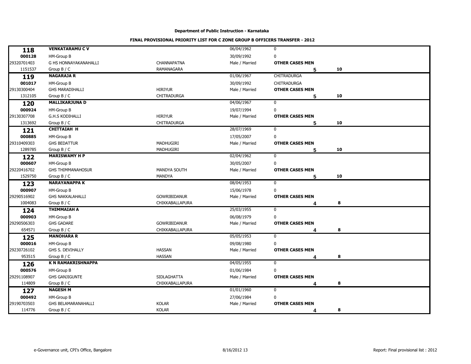| <b>VENKATARAMU C V</b><br>06/04/1962<br>$\mathbf 0$<br>118<br>000128<br>HM-Group B<br>30/09/1992<br>0<br>29320701403<br>G HS HONNAYAKANAHALLI<br>CHANNAPATNA<br>Male / Married<br><b>OTHER CASES MEN</b><br>1151537<br><b>RAMANAGARA</b><br>10<br>Group $B / C$<br>5<br><b>NAGARAJA R</b><br>01/06/1967<br><b>CHITRADURGA</b><br>119<br>001017<br>HM-Group B<br>30/09/1992<br><b>CHITRADURGA</b><br>29130300404<br><b>GHS MARADIHALLI</b><br><b>HIRIYUR</b><br>Male / Married<br><b>OTHER CASES MEN</b><br><b>CHITRADURGA</b><br>1312105<br>Group B / C<br>10<br>5<br><b>MALLIKARJUNA D</b><br>04/06/1967<br>0<br>120<br>000924<br>HM-Group B<br>19/07/1994<br>$\mathbf 0$<br>29130307708<br><b>G.H.S KODIHALLI</b><br><b>HIRIYUR</b><br>Male / Married<br><b>OTHER CASES MEN</b><br><b>CHITRADURGA</b><br>1313692<br>Group $B / C$<br>10<br>5<br>28/07/1969<br><b>CHITTAIAH H</b><br>$\mathbf 0$<br>121<br>000885<br>HM-Group B<br>17/05/2007<br>0<br>29310409303<br><b>GHS BEDATTUR</b><br><b>MADHUGIRI</b><br>Male / Married<br><b>OTHER CASES MEN</b><br>1289785<br>MADHUGIRI<br>Group B / C<br>10<br>5<br><b>MARISWAMY H P</b><br>02/04/1962<br>0<br>122<br>000607<br>HM-Group B<br>30/05/2007<br>0<br>29220416702<br><b>GHS THIMMANAHOSUR</b><br>MANDYA SOUTH<br>Male / Married<br><b>OTHER CASES MEN</b><br>1529750<br>MANDYA<br>10<br>Group $B / C$<br>5<br>08/04/1953<br>$\mathbf 0$<br><b>NARAYANAPPA K</b><br>123<br>000907<br>15/06/1978<br>0<br>HM-Group B<br>29290516902<br><b>GHS NAKKALAHALLI</b><br>GOWRIBIDANUR<br>Male / Married<br><b>OTHER CASES MEN</b><br>1004083<br>CHIKKABALLAPURA<br>8<br>Group $B / C$<br>Δ<br><b>THIMMAIAH A</b><br>25/03/1955<br>0<br>124<br>000903<br>0<br><b>HM-Group B</b><br>06/08/1979 |
|------------------------------------------------------------------------------------------------------------------------------------------------------------------------------------------------------------------------------------------------------------------------------------------------------------------------------------------------------------------------------------------------------------------------------------------------------------------------------------------------------------------------------------------------------------------------------------------------------------------------------------------------------------------------------------------------------------------------------------------------------------------------------------------------------------------------------------------------------------------------------------------------------------------------------------------------------------------------------------------------------------------------------------------------------------------------------------------------------------------------------------------------------------------------------------------------------------------------------------------------------------------------------------------------------------------------------------------------------------------------------------------------------------------------------------------------------------------------------------------------------------------------------------------------------------------------------------------------------------------------------------------------------------------------------------------------------------------------------------------|
|                                                                                                                                                                                                                                                                                                                                                                                                                                                                                                                                                                                                                                                                                                                                                                                                                                                                                                                                                                                                                                                                                                                                                                                                                                                                                                                                                                                                                                                                                                                                                                                                                                                                                                                                          |
|                                                                                                                                                                                                                                                                                                                                                                                                                                                                                                                                                                                                                                                                                                                                                                                                                                                                                                                                                                                                                                                                                                                                                                                                                                                                                                                                                                                                                                                                                                                                                                                                                                                                                                                                          |
|                                                                                                                                                                                                                                                                                                                                                                                                                                                                                                                                                                                                                                                                                                                                                                                                                                                                                                                                                                                                                                                                                                                                                                                                                                                                                                                                                                                                                                                                                                                                                                                                                                                                                                                                          |
|                                                                                                                                                                                                                                                                                                                                                                                                                                                                                                                                                                                                                                                                                                                                                                                                                                                                                                                                                                                                                                                                                                                                                                                                                                                                                                                                                                                                                                                                                                                                                                                                                                                                                                                                          |
|                                                                                                                                                                                                                                                                                                                                                                                                                                                                                                                                                                                                                                                                                                                                                                                                                                                                                                                                                                                                                                                                                                                                                                                                                                                                                                                                                                                                                                                                                                                                                                                                                                                                                                                                          |
|                                                                                                                                                                                                                                                                                                                                                                                                                                                                                                                                                                                                                                                                                                                                                                                                                                                                                                                                                                                                                                                                                                                                                                                                                                                                                                                                                                                                                                                                                                                                                                                                                                                                                                                                          |
|                                                                                                                                                                                                                                                                                                                                                                                                                                                                                                                                                                                                                                                                                                                                                                                                                                                                                                                                                                                                                                                                                                                                                                                                                                                                                                                                                                                                                                                                                                                                                                                                                                                                                                                                          |
|                                                                                                                                                                                                                                                                                                                                                                                                                                                                                                                                                                                                                                                                                                                                                                                                                                                                                                                                                                                                                                                                                                                                                                                                                                                                                                                                                                                                                                                                                                                                                                                                                                                                                                                                          |
|                                                                                                                                                                                                                                                                                                                                                                                                                                                                                                                                                                                                                                                                                                                                                                                                                                                                                                                                                                                                                                                                                                                                                                                                                                                                                                                                                                                                                                                                                                                                                                                                                                                                                                                                          |
|                                                                                                                                                                                                                                                                                                                                                                                                                                                                                                                                                                                                                                                                                                                                                                                                                                                                                                                                                                                                                                                                                                                                                                                                                                                                                                                                                                                                                                                                                                                                                                                                                                                                                                                                          |
|                                                                                                                                                                                                                                                                                                                                                                                                                                                                                                                                                                                                                                                                                                                                                                                                                                                                                                                                                                                                                                                                                                                                                                                                                                                                                                                                                                                                                                                                                                                                                                                                                                                                                                                                          |
|                                                                                                                                                                                                                                                                                                                                                                                                                                                                                                                                                                                                                                                                                                                                                                                                                                                                                                                                                                                                                                                                                                                                                                                                                                                                                                                                                                                                                                                                                                                                                                                                                                                                                                                                          |
|                                                                                                                                                                                                                                                                                                                                                                                                                                                                                                                                                                                                                                                                                                                                                                                                                                                                                                                                                                                                                                                                                                                                                                                                                                                                                                                                                                                                                                                                                                                                                                                                                                                                                                                                          |
|                                                                                                                                                                                                                                                                                                                                                                                                                                                                                                                                                                                                                                                                                                                                                                                                                                                                                                                                                                                                                                                                                                                                                                                                                                                                                                                                                                                                                                                                                                                                                                                                                                                                                                                                          |
|                                                                                                                                                                                                                                                                                                                                                                                                                                                                                                                                                                                                                                                                                                                                                                                                                                                                                                                                                                                                                                                                                                                                                                                                                                                                                                                                                                                                                                                                                                                                                                                                                                                                                                                                          |
|                                                                                                                                                                                                                                                                                                                                                                                                                                                                                                                                                                                                                                                                                                                                                                                                                                                                                                                                                                                                                                                                                                                                                                                                                                                                                                                                                                                                                                                                                                                                                                                                                                                                                                                                          |
|                                                                                                                                                                                                                                                                                                                                                                                                                                                                                                                                                                                                                                                                                                                                                                                                                                                                                                                                                                                                                                                                                                                                                                                                                                                                                                                                                                                                                                                                                                                                                                                                                                                                                                                                          |
|                                                                                                                                                                                                                                                                                                                                                                                                                                                                                                                                                                                                                                                                                                                                                                                                                                                                                                                                                                                                                                                                                                                                                                                                                                                                                                                                                                                                                                                                                                                                                                                                                                                                                                                                          |
|                                                                                                                                                                                                                                                                                                                                                                                                                                                                                                                                                                                                                                                                                                                                                                                                                                                                                                                                                                                                                                                                                                                                                                                                                                                                                                                                                                                                                                                                                                                                                                                                                                                                                                                                          |
|                                                                                                                                                                                                                                                                                                                                                                                                                                                                                                                                                                                                                                                                                                                                                                                                                                                                                                                                                                                                                                                                                                                                                                                                                                                                                                                                                                                                                                                                                                                                                                                                                                                                                                                                          |
|                                                                                                                                                                                                                                                                                                                                                                                                                                                                                                                                                                                                                                                                                                                                                                                                                                                                                                                                                                                                                                                                                                                                                                                                                                                                                                                                                                                                                                                                                                                                                                                                                                                                                                                                          |
|                                                                                                                                                                                                                                                                                                                                                                                                                                                                                                                                                                                                                                                                                                                                                                                                                                                                                                                                                                                                                                                                                                                                                                                                                                                                                                                                                                                                                                                                                                                                                                                                                                                                                                                                          |
|                                                                                                                                                                                                                                                                                                                                                                                                                                                                                                                                                                                                                                                                                                                                                                                                                                                                                                                                                                                                                                                                                                                                                                                                                                                                                                                                                                                                                                                                                                                                                                                                                                                                                                                                          |
|                                                                                                                                                                                                                                                                                                                                                                                                                                                                                                                                                                                                                                                                                                                                                                                                                                                                                                                                                                                                                                                                                                                                                                                                                                                                                                                                                                                                                                                                                                                                                                                                                                                                                                                                          |
|                                                                                                                                                                                                                                                                                                                                                                                                                                                                                                                                                                                                                                                                                                                                                                                                                                                                                                                                                                                                                                                                                                                                                                                                                                                                                                                                                                                                                                                                                                                                                                                                                                                                                                                                          |
|                                                                                                                                                                                                                                                                                                                                                                                                                                                                                                                                                                                                                                                                                                                                                                                                                                                                                                                                                                                                                                                                                                                                                                                                                                                                                                                                                                                                                                                                                                                                                                                                                                                                                                                                          |
| 29290506303<br><b>GHS GADARE</b><br>GOWRIBIDANUR<br>Male / Married<br><b>OTHER CASES MEN</b>                                                                                                                                                                                                                                                                                                                                                                                                                                                                                                                                                                                                                                                                                                                                                                                                                                                                                                                                                                                                                                                                                                                                                                                                                                                                                                                                                                                                                                                                                                                                                                                                                                             |
| 654571<br>CHIKKABALLAPURA<br>Group B / C<br>8<br>4                                                                                                                                                                                                                                                                                                                                                                                                                                                                                                                                                                                                                                                                                                                                                                                                                                                                                                                                                                                                                                                                                                                                                                                                                                                                                                                                                                                                                                                                                                                                                                                                                                                                                       |
| 05/05/1953<br>$\mathbf 0$<br><b>MANOHARA R</b><br>125                                                                                                                                                                                                                                                                                                                                                                                                                                                                                                                                                                                                                                                                                                                                                                                                                                                                                                                                                                                                                                                                                                                                                                                                                                                                                                                                                                                                                                                                                                                                                                                                                                                                                    |
| 000016<br>$\pmb{0}$<br>HM-Group B<br>09/08/1980                                                                                                                                                                                                                                                                                                                                                                                                                                                                                                                                                                                                                                                                                                                                                                                                                                                                                                                                                                                                                                                                                                                                                                                                                                                                                                                                                                                                                                                                                                                                                                                                                                                                                          |
| 29230726102<br><b>HASSAN</b><br>GHS S. DEVIHALLY<br>Male / Married<br><b>OTHER CASES MEN</b>                                                                                                                                                                                                                                                                                                                                                                                                                                                                                                                                                                                                                                                                                                                                                                                                                                                                                                                                                                                                                                                                                                                                                                                                                                                                                                                                                                                                                                                                                                                                                                                                                                             |
| 953515<br><b>HASSAN</b><br>Group $B / C$<br>8<br>Δ                                                                                                                                                                                                                                                                                                                                                                                                                                                                                                                                                                                                                                                                                                                                                                                                                                                                                                                                                                                                                                                                                                                                                                                                                                                                                                                                                                                                                                                                                                                                                                                                                                                                                       |
| <b>K N RAMAKRISHNAPPA</b><br>04/05/1955<br>0<br>126                                                                                                                                                                                                                                                                                                                                                                                                                                                                                                                                                                                                                                                                                                                                                                                                                                                                                                                                                                                                                                                                                                                                                                                                                                                                                                                                                                                                                                                                                                                                                                                                                                                                                      |
| 000576<br>01/06/1984<br>0<br>HM-Group B                                                                                                                                                                                                                                                                                                                                                                                                                                                                                                                                                                                                                                                                                                                                                                                                                                                                                                                                                                                                                                                                                                                                                                                                                                                                                                                                                                                                                                                                                                                                                                                                                                                                                                  |
| 29291108907<br><b>SIDLAGHATTA</b><br><b>OTHER CASES MEN</b><br><b>GHS GANJIGUNTE</b><br>Male / Married                                                                                                                                                                                                                                                                                                                                                                                                                                                                                                                                                                                                                                                                                                                                                                                                                                                                                                                                                                                                                                                                                                                                                                                                                                                                                                                                                                                                                                                                                                                                                                                                                                   |
| 114809<br>CHIKKABALLAPURA<br>8<br>Group $B / C$<br>4                                                                                                                                                                                                                                                                                                                                                                                                                                                                                                                                                                                                                                                                                                                                                                                                                                                                                                                                                                                                                                                                                                                                                                                                                                                                                                                                                                                                                                                                                                                                                                                                                                                                                     |
| <b>NAGESH M</b><br>$\mathbf 0$<br>01/01/1960<br>127                                                                                                                                                                                                                                                                                                                                                                                                                                                                                                                                                                                                                                                                                                                                                                                                                                                                                                                                                                                                                                                                                                                                                                                                                                                                                                                                                                                                                                                                                                                                                                                                                                                                                      |
| 000492<br>27/06/1984<br>HM-Group B<br>0                                                                                                                                                                                                                                                                                                                                                                                                                                                                                                                                                                                                                                                                                                                                                                                                                                                                                                                                                                                                                                                                                                                                                                                                                                                                                                                                                                                                                                                                                                                                                                                                                                                                                                  |
| 29190703503<br><b>KOLAR</b><br><b>GHS BELAMARANAHALLI</b><br>Male / Married<br><b>OTHER CASES MEN</b>                                                                                                                                                                                                                                                                                                                                                                                                                                                                                                                                                                                                                                                                                                                                                                                                                                                                                                                                                                                                                                                                                                                                                                                                                                                                                                                                                                                                                                                                                                                                                                                                                                    |
| <b>KOLAR</b><br>114776<br>8<br>Group $B / C$<br>4                                                                                                                                                                                                                                                                                                                                                                                                                                                                                                                                                                                                                                                                                                                                                                                                                                                                                                                                                                                                                                                                                                                                                                                                                                                                                                                                                                                                                                                                                                                                                                                                                                                                                        |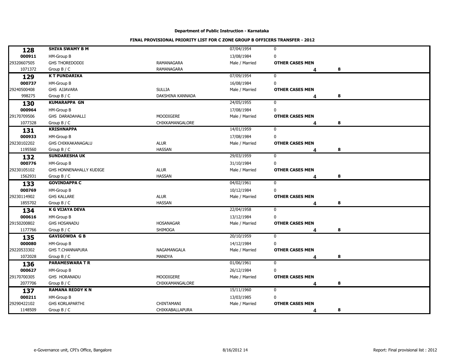| 128         | <b>SHIVA SWAMY B M</b>    |                        | 07/04/1954     | $\mathbf 0$            |   |  |
|-------------|---------------------------|------------------------|----------------|------------------------|---|--|
| 000911      | HM-Group B                |                        | 13/08/1984     | $\mathbf 0$            |   |  |
| 29320607505 | <b>GHS THOREDODDI</b>     | RAMANAGARA             | Male / Married | <b>OTHER CASES MEN</b> |   |  |
| 1071372     | Group $B / C$             | <b>RAMANAGARA</b>      |                | Δ                      | 8 |  |
| 129         | <b>KT PUNDARIKA</b>       |                        | 07/09/1954     | $\mathbf 0$            |   |  |
| 000737      | HM-Group B                |                        | 16/08/1984     | $\mathbf 0$            |   |  |
| 29240500408 | GHS AJJAVARA              | <b>SULLIA</b>          | Male / Married | <b>OTHER CASES MEN</b> |   |  |
| 998275      | Group B / C               | DAKSHINA KANNADA       |                | 4                      | 8 |  |
| 130         | <b>KUMARAPPA GN</b>       |                        | 24/05/1955     | $\mathbf 0$            |   |  |
| 000964      | HM-Group B                |                        | 17/08/1984     | $\mathbf 0$            |   |  |
| 29170709506 | GHS DARADAHALLI           | MOODIGERE              | Male / Married | <b>OTHER CASES MEN</b> |   |  |
| 1077328     | Group $B / C$             | CHIKKAMANGALORE        |                | Δ                      | 8 |  |
| 131         | <b>KRISHNAPPA</b>         |                        | 14/01/1959     | $\mathbf 0$            |   |  |
| 000933      | HM-Group B                |                        | 17/08/1984     | $\mathbf 0$            |   |  |
| 29230102202 | <b>GHS CHIKKAKANAGALU</b> | <b>ALUR</b>            | Male / Married | <b>OTHER CASES MEN</b> |   |  |
| 1195560     | Group $B / C$             | <b>HASSAN</b>          |                | Δ                      | 8 |  |
| 132         | <b>SUNDARESHA UK</b>      |                        | 29/03/1959     | $\mathbf 0$            |   |  |
| 000776      | HM-Group B                |                        | 31/10/1984     | $\mathbf 0$            |   |  |
| 29230105102 | GHS HONNENAHALLY KUDIGE   | <b>ALUR</b>            | Male / Married | <b>OTHER CASES MEN</b> |   |  |
| 1562931     | Group B / C               | <b>HASSAN</b>          |                | Δ                      | 8 |  |
| 133         | <b>GOVINDAPPA C</b>       |                        | 04/02/1961     | $\mathbf 0$            |   |  |
| 000769      | HM-Group B                |                        | 10/12/1984     | $\mathbf 0$            |   |  |
| 29230114902 | <b>GHS KALLARE</b>        | <b>ALUR</b>            | Male / Married | <b>OTHER CASES MEN</b> |   |  |
| 1855702     | Group B / C               | <b>HASSAN</b>          |                | Δ                      | 8 |  |
| 134         | <b>K G VIJAYA DEVA</b>    |                        | 22/04/1958     | 0                      |   |  |
| 000616      | HM-Group B                |                        | 13/12/1984     | $\mathbf 0$            |   |  |
| 29150200802 | <b>GHS HOSANADU</b>       | <b>HOSANAGAR</b>       | Male / Married | <b>OTHER CASES MEN</b> |   |  |
| 1177766     | Group $B / C$             | SHIMOGA                |                | Δ                      | 8 |  |
| 135         | <b>GAVIGOWDA G B</b>      |                        | 20/10/1959     | $\mathbf 0$            |   |  |
| 000080      | HM-Group B                |                        | 14/12/1984     | 0                      |   |  |
| 29220533302 | <b>GHS T.CHANNAPURA</b>   | NAGAMANGALA            | Male / Married | <b>OTHER CASES MEN</b> |   |  |
| 1072028     | Group B / C               | MANDYA                 |                | Δ                      | 8 |  |
| 136         | <b>PARAMESWARA T R</b>    |                        | 01/06/1961     | 0                      |   |  |
| 000627      | HM-Group B                |                        | 26/12/1984     | $\mathbf 0$            |   |  |
| 29170700305 | GHS HORANADU              | <b>MOODIGERE</b>       | Male / Married | <b>OTHER CASES MEN</b> |   |  |
| 2077706     | Group $B / C$             | CHIKKAMANGALORE        |                | Δ                      | 8 |  |
| 137         | <b>RAMANA REDDY KN</b>    |                        | 15/11/1960     | $\mathbf 0$            |   |  |
| 000211      | HM-Group B                |                        | 13/03/1985     | $\pmb{0}$              |   |  |
| 29290422102 | <b>GHS KORLAPARTHI</b>    | CHINTAMANI             | Male / Married | <b>OTHER CASES MEN</b> |   |  |
| 1148509     | Group $B / C$             | <b>CHIKKABALLAPURA</b> |                |                        | 8 |  |
|             |                           |                        |                | 4                      |   |  |